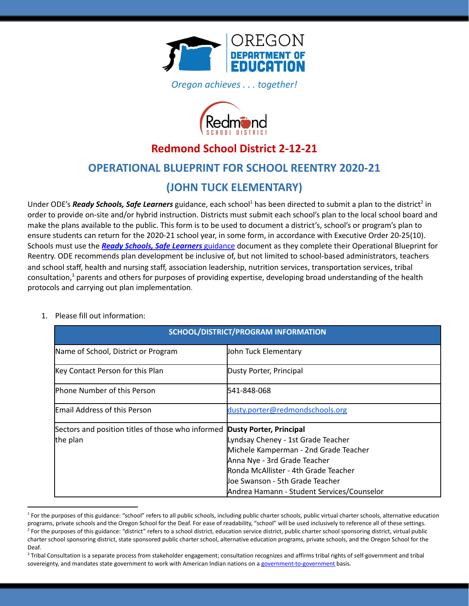

*Oregon achieves . . . together!*



# **Redmond School District 2-12-21**

## **OPERATIONAL BLUEPRINT FOR SCHOOL REENTRY 2020-21**

# **(JOHN TUCK ELEMENTARY)**

Under ODE's *Ready Schools, Safe Learners* guidance, each school<sup>1</sup> has been directed to submit a plan to the district<sup>2</sup> in order to provide on-site and/or hybrid instruction. Districts must submit each school's plan to the local school board and make the plans available to the public. This form is to be used to document a district's, school's or program's plan to ensure students can return for the 2020-21 school year, in some form, in accordance with Executive Order 20-25(10). Schools must use the *Ready Schools, Safe Learners* [guidance](https://www.oregon.gov/ode/students-and-family/healthsafety/Documents/Ready%20Schools%20Safe%20Learners%202020-21%20Guidance.pdf) document as they complete their Operational Blueprint for Reentry. ODE recommends plan development be inclusive of, but not limited to school-based administrators, teachers and school staff, health and nursing staff, association leadership, nutrition services, transportation services, tribal consultation,<sup>3</sup> parents and others for purposes of providing expertise, developing broad understanding of the health protocols and carrying out plan implementation.

# **SCHOOL/DISTRICT/PROGRAM INFORMATION** Name of School, District or Program John Tuck Elementary Key Contact Person for this Plan **Dusty Porter, Principal** Phone Number of this Person 541-848-068 Email Address of this Person [dusty.porter@redmondschools.org](mailto:dusty.porter@redmondschools.org) Sectors and position titles of those who informed **Dusty Porter, Principal** the plan Lyndsay Cheney - 1st Grade Teacher Michele Kamperman - 2nd Grade Teacher Anna Nye - 3rd Grade Teacher Ronda McAllister - 4th Grade Teacher Joe Swanson - 5th Grade Teacher Andrea Hamann - Student Services/Counselor

### 1. Please fill out information:

 $<sup>2</sup>$  For the purposes of this guidance: "district" refers to a school district, education service district, public charter school sponsoring district, virtual public</sup> charter school sponsoring district, state sponsored public charter school, alternative education programs, private schools, and the Oregon School for the Deaf. <sup>1</sup> For the purposes of this guidance: "school" refers to all public schools, including public charter schools, public virtual charter schools, alternative education programs, private schools and the Oregon School for the Deaf. For ease of readability, "school" will be used inclusively to reference all of these settings.

<sup>&</sup>lt;sup>3</sup> Tribal Consultation is a separate process from stakeholder engagement; consultation recognizes and affirms tribal rights of self-government and tribal sovereignty, and mandates state government to work with American Indian nations on a [government-to-government](http://www.nrc4tribes.org/files/Tab%209_9H%20Oregon%20SB770.pdf) basis.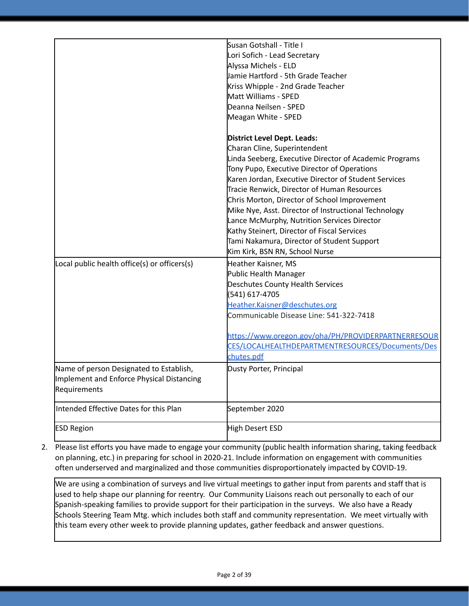|                                              | Susan Gotshall - Title I                               |
|----------------------------------------------|--------------------------------------------------------|
|                                              | Lori Sofich - Lead Secretary                           |
|                                              | Alyssa Michels - ELD                                   |
|                                              | Jamie Hartford - 5th Grade Teacher                     |
|                                              | Kriss Whipple - 2nd Grade Teacher                      |
|                                              | Matt Williams - SPED                                   |
|                                              | Deanna Neilsen - SPED                                  |
|                                              | Meagan White - SPED                                    |
|                                              |                                                        |
|                                              | District Level Dept. Leads:                            |
|                                              | Charan Cline, Superintendent                           |
|                                              | Linda Seeberg, Executive Director of Academic Programs |
|                                              | Tony Pupo, Executive Director of Operations            |
|                                              | Karen Jordan, Executive Director of Student Services   |
|                                              | Tracie Renwick, Director of Human Resources            |
|                                              | Chris Morton, Director of School Improvement           |
|                                              | Mike Nye, Asst. Director of Instructional Technology   |
|                                              | Lance McMurphy, Nutrition Services Director            |
|                                              | Kathy Steinert, Director of Fiscal Services            |
|                                              | Tami Nakamura, Director of Student Support             |
|                                              | Kim Kirk, BSN RN, School Nurse                         |
|                                              |                                                        |
| Local public health office(s) or officers(s) | <b>Heather Kaisner, MS</b>                             |
|                                              | <b>Public Health Manager</b>                           |
|                                              | <b>Deschutes County Health Services</b>                |
|                                              | (541) 617-4705                                         |
|                                              | Heather.Kaisner@deschutes.org                          |
|                                              | Communicable Disease Line: 541-322-7418                |
|                                              |                                                        |
|                                              | https://www.oregon.gov/oha/PH/PROVIDERPARTNERRESOUR    |
|                                              | CES/LOCALHEALTHDEPARTMENTRESOURCES/Documents/Des       |
|                                              | chutes.pdf                                             |
| Name of person Designated to Establish,      | Dusty Porter, Principal                                |
| Implement and Enforce Physical Distancing    |                                                        |
| Requirements                                 |                                                        |
|                                              |                                                        |
| Intended Effective Dates for this Plan       | September 2020                                         |
|                                              |                                                        |
| <b>ESD Region</b>                            | High Desert ESD                                        |

2. Please list efforts you have made to engage your community (public health information sharing, taking feedback on planning, etc.) in preparing for school in 2020-21. Include information on engagement with communities often underserved and marginalized and those communities disproportionately impacted by COVID-19.

We are using a combination of surveys and live virtual meetings to gather input from parents and staff that is used to help shape our planning for reentry. Our Community Liaisons reach out personally to each of our Spanish-speaking families to provide support for their participation in the surveys. We also have a Ready Schools Steering Team Mtg. which includes both staff and community representation. We meet virtually with this team every other week to provide planning updates, gather feedback and answer questions.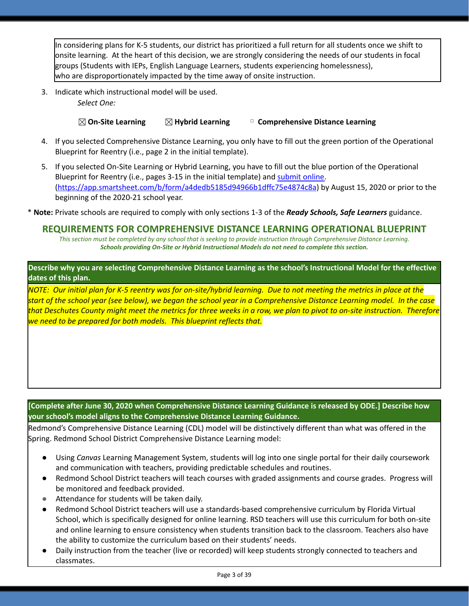In considering plans for K-5 students, our district has prioritized a full return for all students once we shift to onsite learning. At the heart of this decision, we are strongly considering the needs of our students in focal groups (Students with IEPs, English Language Learners, students experiencing homelessness), who are disproportionately impacted by the time away of onsite instruction.

3. Indicate which instructional model will be used. *Select One:*

☒**On-Site Learning** ☒**Hybrid Learning** ▢ **Comprehensive Distance Learning**

- 4. If you selected Comprehensive Distance Learning, you only have to fill out the green portion of the Operational Blueprint for Reentry (i.e., page 2 in the initial template).
- 5. If you selected On-Site Learning or Hybrid Learning, you have to fill out the blue portion of the Operational Blueprint for Reentry (i.e., pages 3-15 in the initial template) and [submit](https://app.smartsheet.com/b/form/a4dedb5185d94966b1dffc75e4874c8a) online. [\(https://app.smartsheet.com/b/form/a4dedb5185d94966b1dffc75e4874c8a](https://app.smartsheet.com/b/form/a4dedb5185d94966b1dffc75e4874c8a)) by August 15, 2020 or prior to the beginning of the 2020-21 school year.

\* **Note:** Private schools are required to comply with only sections 1-3 of the *Ready Schools, Safe Learners* guidance.

### **REQUIREMENTS FOR COMPREHENSIVE DISTANCE LEARNING OPERATIONAL BLUEPRINT**

*This section must be completed by any school that is seeking to provide instruction through Comprehensive Distance Learning. Schools providing On-Site or Hybrid Instructional Models do not need to complete this section.*

Describe why you are selecting Comprehensive Distance Learning as the school's Instructional Model for the effective **dates of this plan.**

NOTE: Our initial plan for K-5 reentry was for on-site/hybrid learning. Due to not meeting the metrics in place at the start of the school year (see below), we began the school year in a Comprehensive Distance Learning model. In the case that Deschutes County might meet the metrics for three weeks in a row, we plan to pivot to on-site instruction. Therefore *we need to be prepared for both models. This blueprint reflects that.*

### **[Complete after June 30, 2020 when Comprehensive Distance Learning Guidance is released by ODE.] Describe how your school's model aligns to the Comprehensive Distance Learning Guidance.**

Redmond's Comprehensive Distance Learning (CDL) model will be distinctively different than what was offered in the Spring. Redmond School District Comprehensive Distance Learning model:

- Using *Canvas* Learning Management System, students will log into one single portal for their daily coursework and communication with teachers, providing predictable schedules and routines.
- Redmond School District teachers will teach courses with graded assignments and course grades. Progress will be monitored and feedback provided.
- Attendance for students will be taken daily.
- Redmond School District teachers will use a standards-based comprehensive curriculum by Florida Virtual School, which is specifically designed for online learning. RSD teachers will use this curriculum for both on-site and online learning to ensure consistency when students transition back to the classroom. Teachers also have the ability to customize the curriculum based on their students' needs.
- Daily instruction from the teacher (live or recorded) will keep students strongly connected to teachers and classmates.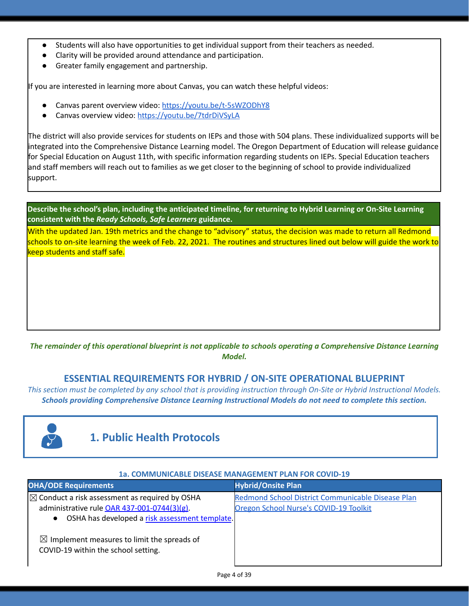- Students will also have opportunities to get individual support from their teachers as needed.
- Clarity will be provided around attendance and participation.
- Greater family engagement and partnership.

If you are interested in learning more about Canvas, you can watch these helpful videos:

- Canvas parent overview video: <https://youtu.be/t-5sWZODhY8>
- Canvas overview video: <https://youtu.be/7tdrDiVSyLA>

The district will also provide services for students on IEPs and those with 504 plans. These individualized supports will be integrated into the Comprehensive Distance Learning model. The Oregon Department of Education will release guidance for Special Education on August 11th, with specific information regarding students on IEPs. Special Education teachers and staff members will reach out to families as we get closer to the beginning of school to provide individualized support.

Describe the school's plan, including the anticipated timeline, for returning to Hybrid Learning or On-Site Learning **consistent with the** *Ready Schools, Safe Learners* **guidance.**

With the updated Jan. 19th metrics and the change to "advisory" status, the decision was made to return all Redmond schools to on-site learning the week of Feb. 22, 2021. The routines and structures lined out below will guide the work to keep students and staff safe.

### The remainder of this operational blueprint is not applicable to schools operating a Comprehensive Distance Learning *Model.*

### **ESSENTIAL REQUIREMENTS FOR HYBRID / ON-SITE OPERATIONAL BLUEPRINT**

This section must be completed by any school that is providing instruction through On-Site or Hybrid Instructional Models. *Schools providing Comprehensive Distance Learning Instructional Models do not need to complete this section.*



# **1. Public Health Protocols**

#### **1a. COMMUNICABLE DISEASE MANAGEMENT PLAN FOR COVID-19**

| <b>OHA/ODE Requirements</b>                                                                   | <b>Hybrid/Onsite Plan</b>                         |
|-----------------------------------------------------------------------------------------------|---------------------------------------------------|
| $\mathbb{R}$ Conduct a risk assessment as required by OSHA                                    | Redmond School District Communicable Disease Plan |
| administrative rule OAR 437-001-0744(3)(g).                                                   | Oregon School Nurse's COVID-19 Toolkit            |
| OSHA has developed a risk assessment template.<br>$\bullet$                                   |                                                   |
| $\boxtimes$ Implement measures to limit the spreads of<br>COVID-19 within the school setting. |                                                   |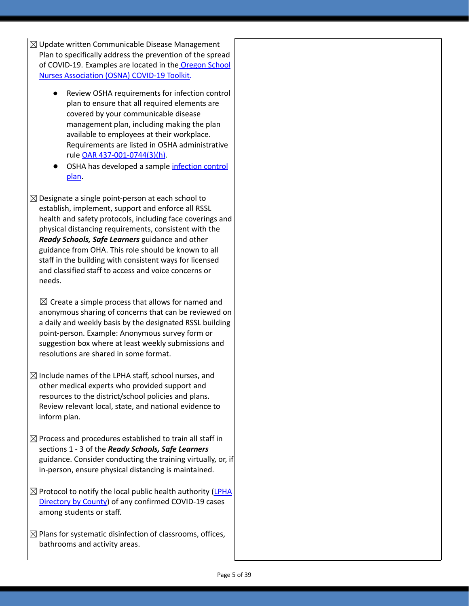$\boxtimes$  Update written Communicable Disease Management Plan to specifically address the prevention of the spread of COVID-19. Examples are located in the [Oregon](https://www.oregonschoolnurses.org/resources/covid-19-toolkit) School Nurses [Association](https://www.oregonschoolnurses.org/resources/covid-19-toolkit) (OSNA) COVID-19 Toolkit.

- Review OSHA requirements for infection control plan to ensure that all required elements are covered by your communicable disease management plan, including making the plan available to employees at their workplace. Requirements are listed in OSHA administrative rule OAR [437-001-0744\(3\)\(h\)](https://secure.sos.state.or.us/oard/viewSingleRule.action?ruleVrsnRsn=274961).
- OSHA has developed a sample [infection](https://osha.oregon.gov/OSHAPubs/pubform/infection-control-plan.docx) control [plan](https://osha.oregon.gov/OSHAPubs/pubform/infection-control-plan.docx).

 $\boxtimes$  Designate a single point-person at each school to establish, implement, support and enforce all RSSL health and safety protocols, including face coverings and physical distancing requirements, consistent with the *Ready Schools, Safe Learners* guidance and other guidance from OHA. This role should be known to all staff in the building with consistent ways for licensed and classified staff to access and voice concerns or needs.

 $\boxtimes$  Create a simple process that allows for named and anonymous sharing of concerns that can be reviewed on a daily and weekly basis by the designated RSSL building point-person. Example: Anonymous survey form or suggestion box where at least weekly submissions and resolutions are shared in some format.

- $\boxtimes$  Include names of the LPHA staff, school nurses, and other medical experts who provided support and resources to the district/school policies and plans. Review relevant local, state, and national evidence to inform plan.
- $\boxtimes$  Process and procedures established to train all staff in sections 1 - 3 of the *Ready Schools, Safe Learners* guidance. Consider conducting the training virtually, or, if in-person, ensure physical distancing is maintained.
- $\boxtimes$  Protocol to notify the local public health authority ([LPHA](https://www.oregon.gov/oha/ph/providerpartnerresources/localhealthdepartmentresources/pages/lhd.aspx) [Directory](https://www.oregon.gov/oha/ph/providerpartnerresources/localhealthdepartmentresources/pages/lhd.aspx) by County) of any confirmed COVID-19 cases among students or staff.
- $\boxtimes$  Plans for systematic disinfection of classrooms, offices, bathrooms and activity areas.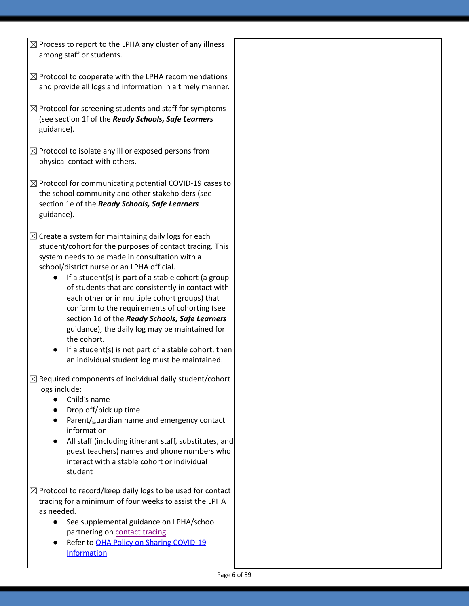- $\boxtimes$  Process to report to the LPHA any cluster of any illness among staff or students.
- $\boxtimes$  Protocol to cooperate with the LPHA recommendations and provide all logs and information in a timely manner.
- $\boxtimes$  Protocol for screening students and staff for symptoms (see section 1f of the *Ready Schools, Safe Learners* guidance).
- $\boxtimes$  Protocol to isolate any ill or exposed persons from physical contact with others.
- $\boxtimes$  Protocol for communicating potential COVID-19 cases to the school community and other stakeholders (see section 1e of the *Ready Schools, Safe Learners* guidance).
- $\boxtimes$  Create a system for maintaining daily logs for each student/cohort for the purposes of contact tracing. This system needs to be made in consultation with a school/district nurse or an LPHA official.
	- If a student(s) is part of a stable cohort (a group of students that are consistently in contact with each other or in multiple cohort groups) that conform to the requirements of cohorting (see section 1d of the *Ready Schools, Safe Learners* guidance), the daily log may be maintained for the cohort.
	- If a student(s) is not part of a stable cohort, then an individual student log must be maintained.
- $\boxtimes$  Required components of individual daily student/cohort logs include:
	- Child's name
	- Drop off/pick up time
	- Parent/guardian name and emergency contact information
	- All staff (including itinerant staff, substitutes, and guest teachers) names and phone numbers who interact with a stable cohort or individual student

 $\boxtimes$  Protocol to record/keep daily logs to be used for contact tracing for a minimum of four weeks to assist the LPHA as needed.

- See supplemental guidance on LPHA/school partnering on [contact](https://www.oregon.gov/ode/students-and-family/healthsafety/Documents/LPHA%20Capacity%20Needs%20and%20Contact%20Tracing.pdf) tracing.
- Refer to OHA Policy on Sharing [COVID-19](https://www.oregon.gov/ode/students-and-family/healthsafety/Documents/Sharing%20COVID%20Information%20with%20Schools.pdf) [Information](https://www.oregon.gov/ode/students-and-family/healthsafety/Documents/Sharing%20COVID%20Information%20with%20Schools.pdf)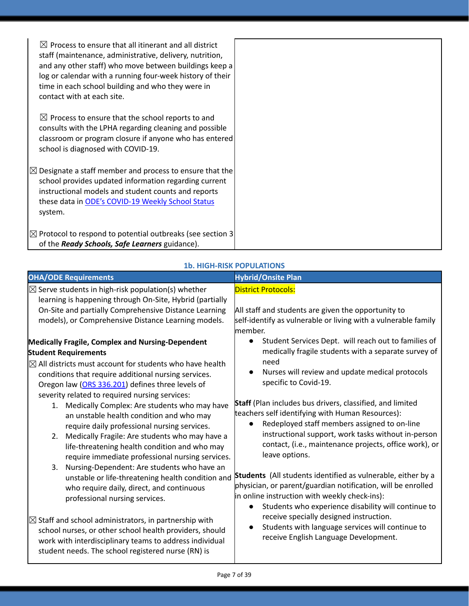| $\boxtimes$ Process to ensure that all itinerant and all district<br>staff (maintenance, administrative, delivery, nutrition,<br>and any other staff) who move between buildings keep a<br>log or calendar with a running four-week history of their<br>time in each school building and who they were in<br>contact with at each site. |  |
|-----------------------------------------------------------------------------------------------------------------------------------------------------------------------------------------------------------------------------------------------------------------------------------------------------------------------------------------|--|
| $\boxtimes$ Process to ensure that the school reports to and<br>consults with the LPHA regarding cleaning and possible<br>classroom or program closure if anyone who has entered<br>school is diagnosed with COVID-19.                                                                                                                  |  |
| $\boxtimes$ Designate a staff member and process to ensure that the<br>school provides updated information regarding current<br>instructional models and student counts and reports<br>these data in ODE's COVID-19 Weekly School Status<br>system.                                                                                     |  |
| $\boxtimes$ Protocol to respond to potential outbreaks (see section 3)<br>of the Ready Schools, Safe Learners guidance).                                                                                                                                                                                                                |  |

| <b>OHA/ODE Requirements</b>                                                                                                                                                                                                                                                                                                                                                                                                                                                                                                                                                                                                                                                                                                                                                                                                                                                                                                                                                                                                                                                   | <b>Hybrid/Onsite Plan</b>                                                                                                                                                                                                                                                                                                                                                                                                                                                                                                                                                                                                                                                                                                                                                                                                                                                                                                                       |
|-------------------------------------------------------------------------------------------------------------------------------------------------------------------------------------------------------------------------------------------------------------------------------------------------------------------------------------------------------------------------------------------------------------------------------------------------------------------------------------------------------------------------------------------------------------------------------------------------------------------------------------------------------------------------------------------------------------------------------------------------------------------------------------------------------------------------------------------------------------------------------------------------------------------------------------------------------------------------------------------------------------------------------------------------------------------------------|-------------------------------------------------------------------------------------------------------------------------------------------------------------------------------------------------------------------------------------------------------------------------------------------------------------------------------------------------------------------------------------------------------------------------------------------------------------------------------------------------------------------------------------------------------------------------------------------------------------------------------------------------------------------------------------------------------------------------------------------------------------------------------------------------------------------------------------------------------------------------------------------------------------------------------------------------|
| $\boxtimes$ Serve students in high-risk population(s) whether<br>learning is happening through On-Site, Hybrid (partially<br>On-Site and partially Comprehensive Distance Learning<br>models), or Comprehensive Distance Learning models.                                                                                                                                                                                                                                                                                                                                                                                                                                                                                                                                                                                                                                                                                                                                                                                                                                     | <b>District Protocols:</b><br>All staff and students are given the opportunity to<br>self-identify as vulnerable or living with a vulnerable family<br>member.                                                                                                                                                                                                                                                                                                                                                                                                                                                                                                                                                                                                                                                                                                                                                                                  |
| <b>Medically Fragile, Complex and Nursing-Dependent</b><br><b>Student Requirements</b><br>$\boxtimes$ All districts must account for students who have health<br>conditions that require additional nursing services.<br>Oregon law (ORS 336.201) defines three levels of<br>severity related to required nursing services:<br>1. Medically Complex: Are students who may have<br>an unstable health condition and who may<br>require daily professional nursing services.<br>2. Medically Fragile: Are students who may have a<br>life-threatening health condition and who may<br>require immediate professional nursing services.<br>Nursing-Dependent: Are students who have an<br>3.<br>unstable or life-threatening health condition and<br>who require daily, direct, and continuous<br>professional nursing services.<br>$\boxtimes$ Staff and school administrators, in partnership with<br>school nurses, or other school health providers, should<br>work with interdisciplinary teams to address individual<br>student needs. The school registered nurse (RN) is | Student Services Dept. will reach out to families of<br>$\bullet$<br>medically fragile students with a separate survey of<br>need<br>Nurses will review and update medical protocols<br>$\bullet$<br>specific to Covid-19.<br>Staff (Plan includes bus drivers, classified, and limited<br>teachers self identifying with Human Resources):<br>Redeployed staff members assigned to on-line<br>instructional support, work tasks without in-person<br>contact, (i.e., maintenance projects, office work), or<br>leave options.<br><b>Students</b> (All students identified as vulnerable, either by a<br>physician, or parent/guardian notification, will be enrolled<br>in online instruction with weekly check-ins):<br>Students who experience disability will continue to<br>$\bullet$<br>receive specially designed instruction.<br>Students with language services will continue to<br>$\bullet$<br>receive English Language Development. |

### **1b. HIGH-RISK POPULATIONS**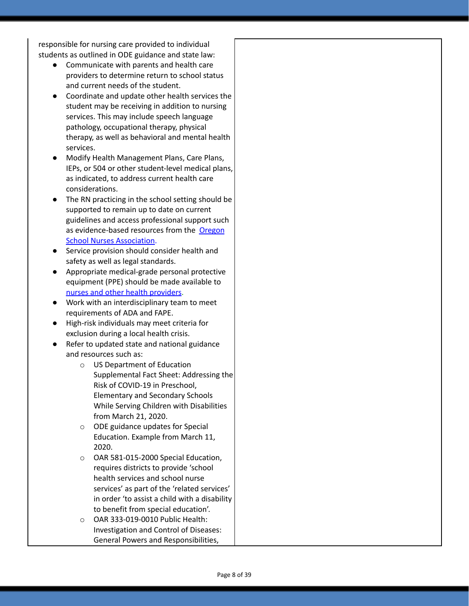responsible for nursing care provided to individual students as outlined in ODE guidance and state law:

- Communicate with parents and health care providers to determine return to school status and current needs of the student.
- Coordinate and update other health services the student may be receiving in addition to nursing services. This may include speech language pathology, occupational therapy, physical therapy, as well as behavioral and mental health services.
- Modify Health Management Plans, Care Plans, IEPs, or 504 or other student-level medical plans, as indicated, to address current health care considerations.
- The RN practicing in the school setting should be supported to remain up to date on current guidelines and access professional support such as evidence-based resources from the [Oregon](https://www.oregonschoolnurses.org/resources/covid-19-toolkit) School Nurses [Association](https://www.oregonschoolnurses.org/resources/covid-19-toolkit).
- Service provision should consider health and safety as well as legal standards.
- Appropriate medical-grade personal protective equipment (PPE) should be made available to nurses and other health [providers](https://www.oregon.gov/ode/students-and-family/healthsafety/Documents/Additional%20Considerations%20for%20Staff%20Working%20with%20Students%20with%20Complex%20Needs.pdf).
- Work with an interdisciplinary team to meet requirements of ADA and FAPE.
- High-risk individuals may meet criteria for exclusion during a local health crisis.
- Refer to updated state and national guidance and resources such as:
	- o US Department of Education Supplemental Fact Sheet: Addressing the Risk of COVID-19 in Preschool, Elementary and Secondary Schools While Serving Children with Disabilities from March 21, 2020.
	- o ODE guidance updates for Special Education. Example from March 11, 2020.
	- o OAR 581-015-2000 Special Education, requires districts to provide 'school health services and school nurse services' as part of the 'related services' in order 'to assist a child with a disability to benefit from special education'.
	- o OAR 333-019-0010 Public Health: Investigation and Control of Diseases: General Powers and Responsibilities,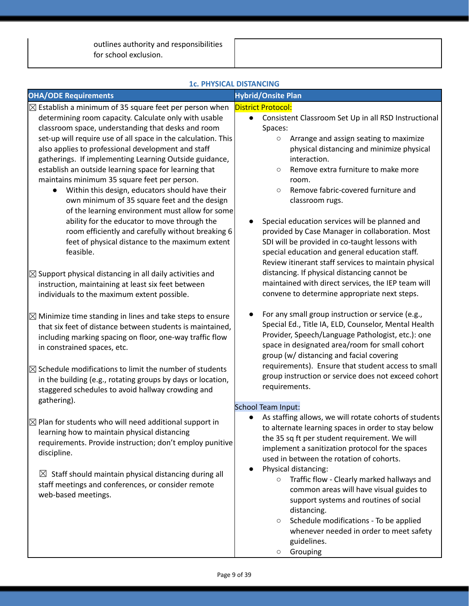|                                                                                                                                                                                                                                                                                                                                                                                                                                                                                                                                                                                                                                                                                                                                                                                                                                                                              | <b>1c. PHYSICAL DISTANCING</b>                                                                                                                                                                                                                                                                                                                                                                                                                                                                                                                                                                                                                                               |
|------------------------------------------------------------------------------------------------------------------------------------------------------------------------------------------------------------------------------------------------------------------------------------------------------------------------------------------------------------------------------------------------------------------------------------------------------------------------------------------------------------------------------------------------------------------------------------------------------------------------------------------------------------------------------------------------------------------------------------------------------------------------------------------------------------------------------------------------------------------------------|------------------------------------------------------------------------------------------------------------------------------------------------------------------------------------------------------------------------------------------------------------------------------------------------------------------------------------------------------------------------------------------------------------------------------------------------------------------------------------------------------------------------------------------------------------------------------------------------------------------------------------------------------------------------------|
| <b>OHA/ODE Requirements</b>                                                                                                                                                                                                                                                                                                                                                                                                                                                                                                                                                                                                                                                                                                                                                                                                                                                  | <b>Hybrid/Onsite Plan</b>                                                                                                                                                                                                                                                                                                                                                                                                                                                                                                                                                                                                                                                    |
| $\boxtimes$ Establish a minimum of 35 square feet per person when<br>determining room capacity. Calculate only with usable<br>classroom space, understanding that desks and room<br>set-up will require use of all space in the calculation. This<br>also applies to professional development and staff<br>gatherings. If implementing Learning Outside guidance,<br>establish an outside learning space for learning that<br>maintains minimum 35 square feet per person.<br>Within this design, educators should have their<br>own minimum of 35 square feet and the design<br>of the learning environment must allow for some<br>ability for the educator to move through the<br>room efficiently and carefully without breaking 6<br>feet of physical distance to the maximum extent<br>feasible.<br>$\boxtimes$ Support physical distancing in all daily activities and | <b>District Protocol:</b><br>Consistent Classroom Set Up in all RSD Instructional<br>$\bullet$<br>Spaces:<br>Arrange and assign seating to maximize<br>$\circ$<br>physical distancing and minimize physical<br>interaction.<br>Remove extra furniture to make more<br>$\circ$<br>room.<br>Remove fabric-covered furniture and<br>$\circ$<br>classroom rugs.<br>Special education services will be planned and<br>provided by Case Manager in collaboration. Most<br>SDI will be provided in co-taught lessons with<br>special education and general education staff.<br>Review itinerant staff services to maintain physical<br>distancing. If physical distancing cannot be |
| instruction, maintaining at least six feet between<br>individuals to the maximum extent possible.<br>$\boxtimes$ Minimize time standing in lines and take steps to ensure<br>that six feet of distance between students is maintained,<br>including marking spacing on floor, one-way traffic flow<br>in constrained spaces, etc.                                                                                                                                                                                                                                                                                                                                                                                                                                                                                                                                            | maintained with direct services, the IEP team will<br>convene to determine appropriate next steps.<br>For any small group instruction or service (e.g.,<br>Special Ed., Title IA, ELD, Counselor, Mental Health<br>Provider, Speech/Language Pathologist, etc.): one<br>space in designated area/room for small cohort<br>group (w/ distancing and facial covering                                                                                                                                                                                                                                                                                                           |
| $\boxtimes$ Schedule modifications to limit the number of students<br>in the building (e.g., rotating groups by days or location,<br>staggered schedules to avoid hallway crowding and<br>gathering).                                                                                                                                                                                                                                                                                                                                                                                                                                                                                                                                                                                                                                                                        | requirements). Ensure that student access to small<br>group instruction or service does not exceed cohort<br>requirements.<br>School Team Input:                                                                                                                                                                                                                                                                                                                                                                                                                                                                                                                             |
| $\boxtimes$ Plan for students who will need additional support in<br>learning how to maintain physical distancing<br>requirements. Provide instruction; don't employ punitive<br>discipline.<br>$\boxtimes$ Staff should maintain physical distancing during all<br>staff meetings and conferences, or consider remote<br>web-based meetings.                                                                                                                                                                                                                                                                                                                                                                                                                                                                                                                                | As staffing allows, we will rotate cohorts of students<br>$\bullet$<br>to alternate learning spaces in order to stay below<br>the 35 sq ft per student requirement. We will<br>implement a sanitization protocol for the spaces<br>used in between the rotation of cohorts.<br>Physical distancing:<br>Traffic flow - Clearly marked hallways and<br>$\circ$<br>common areas will have visual guides to<br>support systems and routines of social<br>distancing.<br>Schedule modifications - To be applied<br>$\circ$<br>whenever needed in order to meet safety<br>guidelines.<br>Grouping<br>$\circ$                                                                       |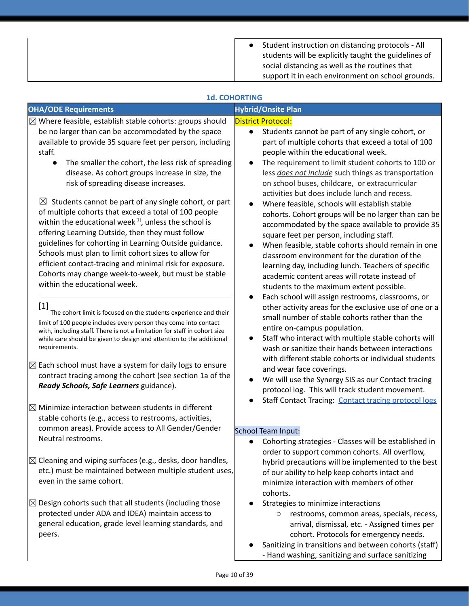| Student instruction on distancing protocols - All    |
|------------------------------------------------------|
| students will be explicitly taught the guidelines of |
| social distancing as well as the routines that       |
| support it in each environment on school grounds.    |

| <b>1d. COHORTING</b>                                                                                                                                                                                                                                                                                                                                                                                                                                                                                                                                                                                                                                                                                                                                                                                                                                                                                                                                                                                                                                                                                                                                                                                                                                                                                                                                                                                                                                                                                         |                                                                                                                                                                                                                                                                                                                                                                                                                                                                                                                                                                                                                                                                                                                                                                                                                                                                                                                                                                                                                                                                                                                                                                                                                                                                                                                                                                                                                                            |  |
|--------------------------------------------------------------------------------------------------------------------------------------------------------------------------------------------------------------------------------------------------------------------------------------------------------------------------------------------------------------------------------------------------------------------------------------------------------------------------------------------------------------------------------------------------------------------------------------------------------------------------------------------------------------------------------------------------------------------------------------------------------------------------------------------------------------------------------------------------------------------------------------------------------------------------------------------------------------------------------------------------------------------------------------------------------------------------------------------------------------------------------------------------------------------------------------------------------------------------------------------------------------------------------------------------------------------------------------------------------------------------------------------------------------------------------------------------------------------------------------------------------------|--------------------------------------------------------------------------------------------------------------------------------------------------------------------------------------------------------------------------------------------------------------------------------------------------------------------------------------------------------------------------------------------------------------------------------------------------------------------------------------------------------------------------------------------------------------------------------------------------------------------------------------------------------------------------------------------------------------------------------------------------------------------------------------------------------------------------------------------------------------------------------------------------------------------------------------------------------------------------------------------------------------------------------------------------------------------------------------------------------------------------------------------------------------------------------------------------------------------------------------------------------------------------------------------------------------------------------------------------------------------------------------------------------------------------------------------|--|
| <b>OHA/ODE Requirements</b>                                                                                                                                                                                                                                                                                                                                                                                                                                                                                                                                                                                                                                                                                                                                                                                                                                                                                                                                                                                                                                                                                                                                                                                                                                                                                                                                                                                                                                                                                  | <b>Hybrid/Onsite Plan</b>                                                                                                                                                                                                                                                                                                                                                                                                                                                                                                                                                                                                                                                                                                                                                                                                                                                                                                                                                                                                                                                                                                                                                                                                                                                                                                                                                                                                                  |  |
| $\boxtimes$ Where feasible, establish stable cohorts: groups should<br>be no larger than can be accommodated by the space<br>available to provide 35 square feet per person, including<br>staff.<br>The smaller the cohort, the less risk of spreading<br>disease. As cohort groups increase in size, the<br>risk of spreading disease increases.<br>$\boxtimes$ Students cannot be part of any single cohort, or part<br>of multiple cohorts that exceed a total of 100 people<br>within the educational week[1], unless the school is<br>offering Learning Outside, then they must follow<br>guidelines for cohorting in Learning Outside guidance.<br>Schools must plan to limit cohort sizes to allow for<br>efficient contact-tracing and minimal risk for exposure.<br>Cohorts may change week-to-week, but must be stable<br>within the educational week.<br>$\left[1\right]$<br>The cohort limit is focused on the students experience and their<br>limit of 100 people includes every person they come into contact<br>with, including staff. There is not a limitation for staff in cohort size<br>while care should be given to design and attention to the additional<br>requirements.<br>$\boxtimes$ Each school must have a system for daily logs to ensure<br>contract tracing among the cohort (see section 1a of the<br>Ready Schools, Safe Learners guidance).<br>$\boxtimes$ Minimize interaction between students in different<br>stable cohorts (e.g., access to restrooms, activities, | <b>District Protocol:</b><br>Students cannot be part of any single cohort, or<br>part of multiple cohorts that exceed a total of 100<br>people within the educational week.<br>The requirement to limit student cohorts to 100 or<br>less does not include such things as transportation<br>on school buses, childcare, or extracurricular<br>activities but does include lunch and recess.<br>Where feasible, schools will establish stable<br>cohorts. Cohort groups will be no larger than can be<br>accommodated by the space available to provide 35<br>square feet per person, including staff.<br>When feasible, stable cohorts should remain in one<br>classroom environment for the duration of the<br>learning day, including lunch. Teachers of specific<br>academic content areas will rotate instead of<br>students to the maximum extent possible.<br>Each school will assign restrooms, classrooms, or<br>other activity areas for the exclusive use of one or a<br>small number of stable cohorts rather than the<br>entire on-campus population.<br>Staff who interact with multiple stable cohorts will<br>wash or sanitize their hands between interactions<br>with different stable cohorts or individual students<br>and wear face coverings.<br>We will use the Synergy SIS as our Contact tracing<br>protocol log. This will track student movement.<br><b>Staff Contact Tracing: Contact tracing protocol logs</b> |  |
| common areas). Provide access to All Gender/Gender<br>Neutral restrooms.<br>$\boxtimes$ Cleaning and wiping surfaces (e.g., desks, door handles,<br>etc.) must be maintained between multiple student uses,<br>even in the same cohort.                                                                                                                                                                                                                                                                                                                                                                                                                                                                                                                                                                                                                                                                                                                                                                                                                                                                                                                                                                                                                                                                                                                                                                                                                                                                      | School Team Input:<br>Cohorting strategies - Classes will be established in<br>order to support common cohorts. All overflow,<br>hybrid precautions will be implemented to the best<br>of our ability to help keep cohorts intact and<br>minimize interaction with members of other<br>cohorts.                                                                                                                                                                                                                                                                                                                                                                                                                                                                                                                                                                                                                                                                                                                                                                                                                                                                                                                                                                                                                                                                                                                                            |  |
| $\boxtimes$ Design cohorts such that all students (including those<br>protected under ADA and IDEA) maintain access to<br>general education, grade level learning standards, and<br>peers.                                                                                                                                                                                                                                                                                                                                                                                                                                                                                                                                                                                                                                                                                                                                                                                                                                                                                                                                                                                                                                                                                                                                                                                                                                                                                                                   | Strategies to minimize interactions<br>restrooms, common areas, specials, recess,<br>$\circ$<br>arrival, dismissal, etc. - Assigned times per<br>cohort. Protocols for emergency needs.<br>Sanitizing in transitions and between cohorts (staff)<br>- Hand washing, sanitizing and surface sanitizing                                                                                                                                                                                                                                                                                                                                                                                                                                                                                                                                                                                                                                                                                                                                                                                                                                                                                                                                                                                                                                                                                                                                      |  |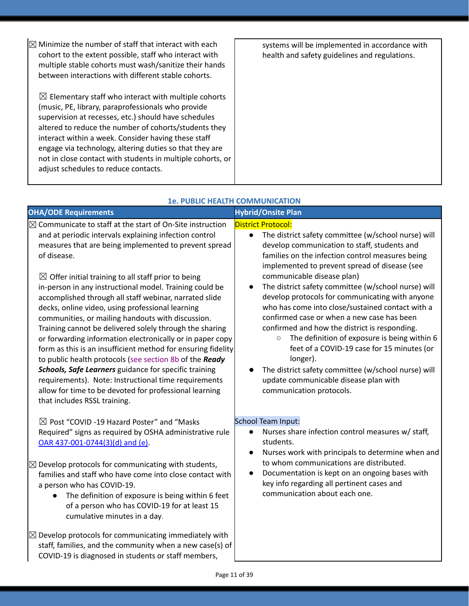| $\boxtimes$ Minimize the number of staff that interact with each<br>cohort to the extent possible, staff who interact with<br>multiple stable cohorts must wash/sanitize their hands<br>between interactions with different stable cohorts.                                                                                                                                                                                                                    | systems will be implemented in accordance with<br>health and safety guidelines and regulations. |
|----------------------------------------------------------------------------------------------------------------------------------------------------------------------------------------------------------------------------------------------------------------------------------------------------------------------------------------------------------------------------------------------------------------------------------------------------------------|-------------------------------------------------------------------------------------------------|
| $\boxtimes$ Elementary staff who interact with multiple cohorts<br>(music, PE, library, paraprofessionals who provide<br>supervision at recesses, etc.) should have schedules<br>altered to reduce the number of cohorts/students they<br>interact within a week. Consider having these staff<br>engage via technology, altering duties so that they are<br>not in close contact with students in multiple cohorts, or<br>adjust schedules to reduce contacts. |                                                                                                 |

**1e. PUBLIC HEALTH COMMUNICATION**

| <b>OHA/ODE Requirements</b>                                                                                                                                                                                                                                                                                                                                                                                                                                                                                                                                                                                                                                                                                                                                                                                                                                                                                                                                          | <b>Hybrid/Onsite Plan</b>                                                                                                                                                                                                                                                                                                                                                                                                                                                                                                                                                                                                                                                                                                                                                                      |
|----------------------------------------------------------------------------------------------------------------------------------------------------------------------------------------------------------------------------------------------------------------------------------------------------------------------------------------------------------------------------------------------------------------------------------------------------------------------------------------------------------------------------------------------------------------------------------------------------------------------------------------------------------------------------------------------------------------------------------------------------------------------------------------------------------------------------------------------------------------------------------------------------------------------------------------------------------------------|------------------------------------------------------------------------------------------------------------------------------------------------------------------------------------------------------------------------------------------------------------------------------------------------------------------------------------------------------------------------------------------------------------------------------------------------------------------------------------------------------------------------------------------------------------------------------------------------------------------------------------------------------------------------------------------------------------------------------------------------------------------------------------------------|
| $\boxtimes$ Communicate to staff at the start of On-Site instruction<br>and at periodic intervals explaining infection control<br>measures that are being implemented to prevent spread<br>of disease.<br>$\boxtimes$ Offer initial training to all staff prior to being<br>in-person in any instructional model. Training could be<br>accomplished through all staff webinar, narrated slide<br>decks, online video, using professional learning<br>communities, or mailing handouts with discussion.<br>Training cannot be delivered solely through the sharing<br>or forwarding information electronically or in paper copy<br>form as this is an insufficient method for ensuring fidelity<br>to public health protocols (see section 8b of the Ready<br>Schools, Safe Learners guidance for specific training<br>requirements). Note: Instructional time requirements<br>allow for time to be devoted for professional learning<br>that includes RSSL training. | <b>District Protocol:</b><br>$\bullet$<br>The district safety committee (w/school nurse) will<br>develop communication to staff, students and<br>families on the infection control measures being<br>implemented to prevent spread of disease (see<br>communicable disease plan)<br>The district safety committee (w/school nurse) will<br>develop protocols for communicating with anyone<br>who has come into close/sustained contact with a<br>confirmed case or when a new case has been<br>confirmed and how the district is responding.<br>The definition of exposure is being within 6<br>$\circ$<br>feet of a COVID-19 case for 15 minutes (or<br>longer).<br>The district safety committee (w/school nurse) will<br>update communicable disease plan with<br>communication protocols. |
| $\boxtimes$ Post "COVID -19 Hazard Poster" and "Masks<br>Required" signs as required by OSHA administrative rule<br>OAR 437-001-0744(3)(d) and (e).<br>$\boxtimes$ Develop protocols for communicating with students,<br>families and staff who have come into close contact with<br>a person who has COVID-19.<br>The definition of exposure is being within 6 feet<br>of a person who has COVID-19 for at least 15<br>cumulative minutes in a day.                                                                                                                                                                                                                                                                                                                                                                                                                                                                                                                 | School Team Input:<br>Nurses share infection control measures w/ staff,<br>$\bullet$<br>students.<br>Nurses work with principals to determine when and<br>to whom communications are distributed.<br>Documentation is kept on an ongoing bases with<br>$\bullet$<br>key info regarding all pertinent cases and<br>communication about each one.                                                                                                                                                                                                                                                                                                                                                                                                                                                |
| $\boxtimes$ Develop protocols for communicating immediately with<br>staff, families, and the community when a new case(s) of<br>COVID-19 is diagnosed in students or staff members,                                                                                                                                                                                                                                                                                                                                                                                                                                                                                                                                                                                                                                                                                                                                                                                  |                                                                                                                                                                                                                                                                                                                                                                                                                                                                                                                                                                                                                                                                                                                                                                                                |

Page 11 of 39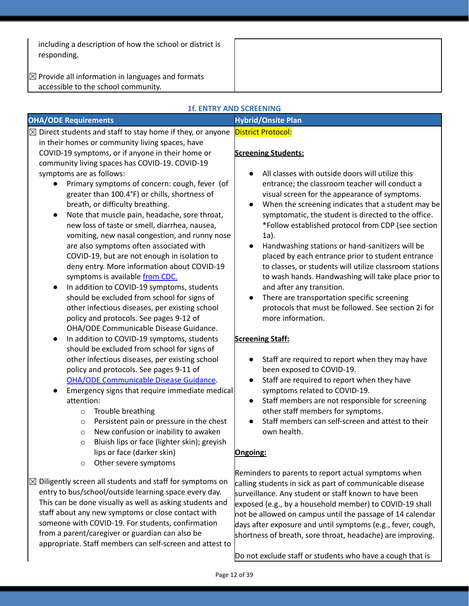including a description of how the school or district is responding.

 $\mathbb B$  Provide all information in languages and formats accessible to the school community.

|  |  | <b>1f. ENTRY AND SCREENING</b> |
|--|--|--------------------------------|
|--|--|--------------------------------|

|                                                                                                                                                                                                                                                                                                                                                                                                                                                                                                                                                                                                                  | <b>TI'LIAI UI WIAD SCULLIAIIAS</b>                                                                                                                                                                                                                                                                                                                                                                                                                                                                            |
|------------------------------------------------------------------------------------------------------------------------------------------------------------------------------------------------------------------------------------------------------------------------------------------------------------------------------------------------------------------------------------------------------------------------------------------------------------------------------------------------------------------------------------------------------------------------------------------------------------------|---------------------------------------------------------------------------------------------------------------------------------------------------------------------------------------------------------------------------------------------------------------------------------------------------------------------------------------------------------------------------------------------------------------------------------------------------------------------------------------------------------------|
| <b>OHA/ODE Requirements</b>                                                                                                                                                                                                                                                                                                                                                                                                                                                                                                                                                                                      | <b>Hybrid/Onsite Plan</b>                                                                                                                                                                                                                                                                                                                                                                                                                                                                                     |
| $\boxtimes$ Direct students and staff to stay home if they, or anyone                                                                                                                                                                                                                                                                                                                                                                                                                                                                                                                                            | <b>District Protocol:</b>                                                                                                                                                                                                                                                                                                                                                                                                                                                                                     |
| in their homes or community living spaces, have                                                                                                                                                                                                                                                                                                                                                                                                                                                                                                                                                                  |                                                                                                                                                                                                                                                                                                                                                                                                                                                                                                               |
| COVID-19 symptoms, or if anyone in their home or                                                                                                                                                                                                                                                                                                                                                                                                                                                                                                                                                                 | <b>Screening Students:</b>                                                                                                                                                                                                                                                                                                                                                                                                                                                                                    |
| community living spaces has COVID-19. COVID-19                                                                                                                                                                                                                                                                                                                                                                                                                                                                                                                                                                   |                                                                                                                                                                                                                                                                                                                                                                                                                                                                                                               |
| symptoms are as follows:                                                                                                                                                                                                                                                                                                                                                                                                                                                                                                                                                                                         | All classes with outside doors will utilize this                                                                                                                                                                                                                                                                                                                                                                                                                                                              |
| Primary symptoms of concern: cough, fever (of                                                                                                                                                                                                                                                                                                                                                                                                                                                                                                                                                                    | entrance; the classroom teacher will conduct a                                                                                                                                                                                                                                                                                                                                                                                                                                                                |
| greater than 100.4°F) or chills, shortness of                                                                                                                                                                                                                                                                                                                                                                                                                                                                                                                                                                    | visual screen for the appearance of symptoms.                                                                                                                                                                                                                                                                                                                                                                                                                                                                 |
| breath, or difficulty breathing.                                                                                                                                                                                                                                                                                                                                                                                                                                                                                                                                                                                 | When the screening indicates that a student may be<br>$\bullet$                                                                                                                                                                                                                                                                                                                                                                                                                                               |
| Note that muscle pain, headache, sore throat,<br>$\bullet$                                                                                                                                                                                                                                                                                                                                                                                                                                                                                                                                                       | symptomatic, the student is directed to the office.                                                                                                                                                                                                                                                                                                                                                                                                                                                           |
| new loss of taste or smell, diarrhea, nausea,                                                                                                                                                                                                                                                                                                                                                                                                                                                                                                                                                                    | *Follow established protocol from CDP (see section                                                                                                                                                                                                                                                                                                                                                                                                                                                            |
| vomiting, new nasal congestion, and runny nose                                                                                                                                                                                                                                                                                                                                                                                                                                                                                                                                                                   | $1a$ ).                                                                                                                                                                                                                                                                                                                                                                                                                                                                                                       |
| are also symptoms often associated with                                                                                                                                                                                                                                                                                                                                                                                                                                                                                                                                                                          | Handwashing stations or hand-sanitizers will be<br>$\bullet$                                                                                                                                                                                                                                                                                                                                                                                                                                                  |
| COVID-19, but are not enough in isolation to                                                                                                                                                                                                                                                                                                                                                                                                                                                                                                                                                                     | placed by each entrance prior to student entrance                                                                                                                                                                                                                                                                                                                                                                                                                                                             |
| deny entry. More information about COVID-19                                                                                                                                                                                                                                                                                                                                                                                                                                                                                                                                                                      | to classes, or students will utilize classroom stations                                                                                                                                                                                                                                                                                                                                                                                                                                                       |
| symptoms is available from CDC.                                                                                                                                                                                                                                                                                                                                                                                                                                                                                                                                                                                  | to wash hands. Handwashing will take place prior to                                                                                                                                                                                                                                                                                                                                                                                                                                                           |
| In addition to COVID-19 symptoms, students<br>$\bullet$                                                                                                                                                                                                                                                                                                                                                                                                                                                                                                                                                          | and after any transition.                                                                                                                                                                                                                                                                                                                                                                                                                                                                                     |
| should be excluded from school for signs of                                                                                                                                                                                                                                                                                                                                                                                                                                                                                                                                                                      | There are transportation specific screening                                                                                                                                                                                                                                                                                                                                                                                                                                                                   |
| other infectious diseases, per existing school                                                                                                                                                                                                                                                                                                                                                                                                                                                                                                                                                                   | protocols that must be followed. See section 2i for                                                                                                                                                                                                                                                                                                                                                                                                                                                           |
| policy and protocols. See pages 9-12 of                                                                                                                                                                                                                                                                                                                                                                                                                                                                                                                                                                          | more information.                                                                                                                                                                                                                                                                                                                                                                                                                                                                                             |
| OHA/ODE Communicable Disease Guidance.                                                                                                                                                                                                                                                                                                                                                                                                                                                                                                                                                                           |                                                                                                                                                                                                                                                                                                                                                                                                                                                                                                               |
| In addition to COVID-19 symptoms, students                                                                                                                                                                                                                                                                                                                                                                                                                                                                                                                                                                       | <b>Screening Staff:</b>                                                                                                                                                                                                                                                                                                                                                                                                                                                                                       |
| should be excluded from school for signs of                                                                                                                                                                                                                                                                                                                                                                                                                                                                                                                                                                      |                                                                                                                                                                                                                                                                                                                                                                                                                                                                                                               |
| other infectious diseases, per existing school                                                                                                                                                                                                                                                                                                                                                                                                                                                                                                                                                                   | Staff are required to report when they may have<br>$\bullet$                                                                                                                                                                                                                                                                                                                                                                                                                                                  |
| policy and protocols. See pages 9-11 of                                                                                                                                                                                                                                                                                                                                                                                                                                                                                                                                                                          | been exposed to COVID-19.                                                                                                                                                                                                                                                                                                                                                                                                                                                                                     |
| <b>OHA/ODE Communicable Disease Guidance.</b>                                                                                                                                                                                                                                                                                                                                                                                                                                                                                                                                                                    | Staff are required to report when they have<br>$\bullet$                                                                                                                                                                                                                                                                                                                                                                                                                                                      |
| Emergency signs that require immediate medical                                                                                                                                                                                                                                                                                                                                                                                                                                                                                                                                                                   | symptoms related to COVID-19.                                                                                                                                                                                                                                                                                                                                                                                                                                                                                 |
| attention:                                                                                                                                                                                                                                                                                                                                                                                                                                                                                                                                                                                                       | Staff members are not responsible for screening<br>$\bullet$                                                                                                                                                                                                                                                                                                                                                                                                                                                  |
| Trouble breathing<br>$\circ$                                                                                                                                                                                                                                                                                                                                                                                                                                                                                                                                                                                     | other staff members for symptoms.                                                                                                                                                                                                                                                                                                                                                                                                                                                                             |
| $\circ$                                                                                                                                                                                                                                                                                                                                                                                                                                                                                                                                                                                                          |                                                                                                                                                                                                                                                                                                                                                                                                                                                                                                               |
| $\circ$                                                                                                                                                                                                                                                                                                                                                                                                                                                                                                                                                                                                          |                                                                                                                                                                                                                                                                                                                                                                                                                                                                                                               |
| $\circ$                                                                                                                                                                                                                                                                                                                                                                                                                                                                                                                                                                                                          |                                                                                                                                                                                                                                                                                                                                                                                                                                                                                                               |
|                                                                                                                                                                                                                                                                                                                                                                                                                                                                                                                                                                                                                  |                                                                                                                                                                                                                                                                                                                                                                                                                                                                                                               |
| $\circ$                                                                                                                                                                                                                                                                                                                                                                                                                                                                                                                                                                                                          |                                                                                                                                                                                                                                                                                                                                                                                                                                                                                                               |
|                                                                                                                                                                                                                                                                                                                                                                                                                                                                                                                                                                                                                  |                                                                                                                                                                                                                                                                                                                                                                                                                                                                                                               |
|                                                                                                                                                                                                                                                                                                                                                                                                                                                                                                                                                                                                                  |                                                                                                                                                                                                                                                                                                                                                                                                                                                                                                               |
|                                                                                                                                                                                                                                                                                                                                                                                                                                                                                                                                                                                                                  |                                                                                                                                                                                                                                                                                                                                                                                                                                                                                                               |
|                                                                                                                                                                                                                                                                                                                                                                                                                                                                                                                                                                                                                  |                                                                                                                                                                                                                                                                                                                                                                                                                                                                                                               |
|                                                                                                                                                                                                                                                                                                                                                                                                                                                                                                                                                                                                                  |                                                                                                                                                                                                                                                                                                                                                                                                                                                                                                               |
|                                                                                                                                                                                                                                                                                                                                                                                                                                                                                                                                                                                                                  |                                                                                                                                                                                                                                                                                                                                                                                                                                                                                                               |
|                                                                                                                                                                                                                                                                                                                                                                                                                                                                                                                                                                                                                  |                                                                                                                                                                                                                                                                                                                                                                                                                                                                                                               |
| Persistent pain or pressure in the chest<br>New confusion or inability to awaken<br>Bluish lips or face (lighter skin); greyish<br>lips or face (darker skin)<br>Other severe symptoms<br>Diligently screen all students and staff for symptoms on<br>$\boxtimes$<br>entry to bus/school/outside learning space every day.<br>This can be done visually as well as asking students and<br>staff about any new symptoms or close contact with<br>someone with COVID-19. For students, confirmation<br>from a parent/caregiver or guardian can also be<br>appropriate. Staff members can self-screen and attest to | Staff members can self-screen and attest to their<br>own health.<br>Ongoing:<br>Reminders to parents to report actual symptoms when<br>calling students in sick as part of communicable disease<br>surveillance. Any student or staff known to have been<br>exposed (e.g., by a household member) to COVID-19 shall<br>not be allowed on campus until the passage of 14 calendar<br>days after exposure and until symptoms (e.g., fever, cough,<br>shortness of breath, sore throat, headache) are improving. |

Do not exclude staff or students who have a cough that is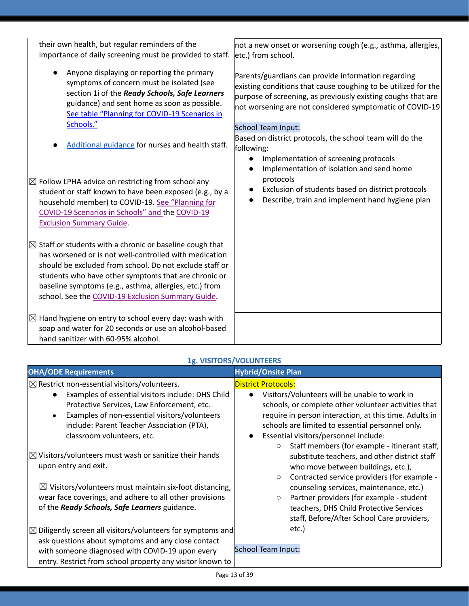| their own health, but regular reminders of the<br>importance of daily screening must be provided to staff.                                                                                                                                                                                                                                                                                                                                                                                                                                                                                                                                                                                                                                                                                                                                                                                                                                           | not a new onset or worsening cough (e.g., asthma, allergies,<br>etc.) from school.                                                                                                                                                                                                                                                                                                                                                                                                                                                                           |
|------------------------------------------------------------------------------------------------------------------------------------------------------------------------------------------------------------------------------------------------------------------------------------------------------------------------------------------------------------------------------------------------------------------------------------------------------------------------------------------------------------------------------------------------------------------------------------------------------------------------------------------------------------------------------------------------------------------------------------------------------------------------------------------------------------------------------------------------------------------------------------------------------------------------------------------------------|--------------------------------------------------------------------------------------------------------------------------------------------------------------------------------------------------------------------------------------------------------------------------------------------------------------------------------------------------------------------------------------------------------------------------------------------------------------------------------------------------------------------------------------------------------------|
| Anyone displaying or reporting the primary<br>symptoms of concern must be isolated (see<br>section 1i of the Ready Schools, Safe Learners<br>guidance) and sent home as soon as possible.<br>See table "Planning for COVID-19 Scenarios in<br>Schools."<br>Additional guidance for nurses and health staff.<br>$\boxtimes$ Follow LPHA advice on restricting from school any<br>student or staff known to have been exposed (e.g., by a<br>household member) to COVID-19. See "Planning for<br>COVID-19 Scenarios in Schools" and the COVID-19<br><b>Exclusion Summary Guide.</b><br>$\boxtimes$ Staff or students with a chronic or baseline cough that<br>has worsened or is not well-controlled with medication<br>should be excluded from school. Do not exclude staff or<br>students who have other symptoms that are chronic or<br>baseline symptoms (e.g., asthma, allergies, etc.) from<br>school. See the COVID-19 Exclusion Summary Guide. | Parents/guardians can provide information regarding<br>existing conditions that cause coughing to be utilized for the<br>purpose of screening, as previously existing coughs that are<br>not worsening are not considered symptomatic of COVID-19<br>School Team Input:<br>Based on district protocols, the school team will do the<br>following:<br>Implementation of screening protocols<br>Implementation of isolation and send home<br>protocols<br>Exclusion of students based on district protocols<br>Describe, train and implement hand hygiene plan |
| $\boxtimes$ Hand hygiene on entry to school every day: wash with<br>soap and water for 20 seconds or use an alcohol-based<br>hand sanitizer with 60-95% alcohol.                                                                                                                                                                                                                                                                                                                                                                                                                                                                                                                                                                                                                                                                                                                                                                                     |                                                                                                                                                                                                                                                                                                                                                                                                                                                                                                                                                              |
|                                                                                                                                                                                                                                                                                                                                                                                                                                                                                                                                                                                                                                                                                                                                                                                                                                                                                                                                                      | <b>1g. VISITORS/VOLUNTEERS</b>                                                                                                                                                                                                                                                                                                                                                                                                                                                                                                                               |
| <b>OHA/ODE Requirements</b>                                                                                                                                                                                                                                                                                                                                                                                                                                                                                                                                                                                                                                                                                                                                                                                                                                                                                                                          | <b>Hybrid/Onsite Plan</b>                                                                                                                                                                                                                                                                                                                                                                                                                                                                                                                                    |

| UNA/UDE Requirements                                                                                                                                                                                                                                                        | Hybrid/Unsite Pian                                                                                                                                                                                                                                                                                                                                     |
|-----------------------------------------------------------------------------------------------------------------------------------------------------------------------------------------------------------------------------------------------------------------------------|--------------------------------------------------------------------------------------------------------------------------------------------------------------------------------------------------------------------------------------------------------------------------------------------------------------------------------------------------------|
| $\boxtimes$ Restrict non-essential visitors/volunteers.                                                                                                                                                                                                                     | <b>District Protocols:</b>                                                                                                                                                                                                                                                                                                                             |
| Examples of essential visitors include: DHS Child                                                                                                                                                                                                                           | Visitors/Volunteers will be unable to work in<br>$\bullet$                                                                                                                                                                                                                                                                                             |
| Protective Services, Law Enforcement, etc.                                                                                                                                                                                                                                  | schools, or complete other volunteer activities that                                                                                                                                                                                                                                                                                                   |
| Examples of non-essential visitors/volunteers                                                                                                                                                                                                                               | require in person interaction, at this time. Adults in                                                                                                                                                                                                                                                                                                 |
| include: Parent Teacher Association (PTA),                                                                                                                                                                                                                                  | schools are limited to essential personnel only.                                                                                                                                                                                                                                                                                                       |
| classroom volunteers, etc.                                                                                                                                                                                                                                                  | Essential visitors/personnel include:<br>$\bullet$                                                                                                                                                                                                                                                                                                     |
| $\boxtimes$ Visitors/volunteers must wash or sanitize their hands<br>upon entry and exit.<br>$\boxtimes$ Visitors/volunteers must maintain six-foot distancing,<br>wear face coverings, and adhere to all other provisions<br>of the Ready Schools, Safe Learners guidance. | Staff members (for example - itinerant staff,<br>$\circ$<br>substitute teachers, and other district staff<br>who move between buildings, etc.),<br>Contracted service providers (for example -<br>$\circ$<br>counseling services, maintenance, etc.)<br>Partner providers (for example - student<br>$\circ$<br>teachers, DHS Child Protective Services |
|                                                                                                                                                                                                                                                                             | staff, Before/After School Care providers,                                                                                                                                                                                                                                                                                                             |
| $\boxtimes$ Diligently screen all visitors/volunteers for symptoms and                                                                                                                                                                                                      | etc.)                                                                                                                                                                                                                                                                                                                                                  |
| ask questions about symptoms and any close contact                                                                                                                                                                                                                          |                                                                                                                                                                                                                                                                                                                                                        |
| with someone diagnosed with COVID-19 upon every                                                                                                                                                                                                                             | <b>School Team Input:</b>                                                                                                                                                                                                                                                                                                                              |
| entry. Restrict from school property any visitor known to                                                                                                                                                                                                                   |                                                                                                                                                                                                                                                                                                                                                        |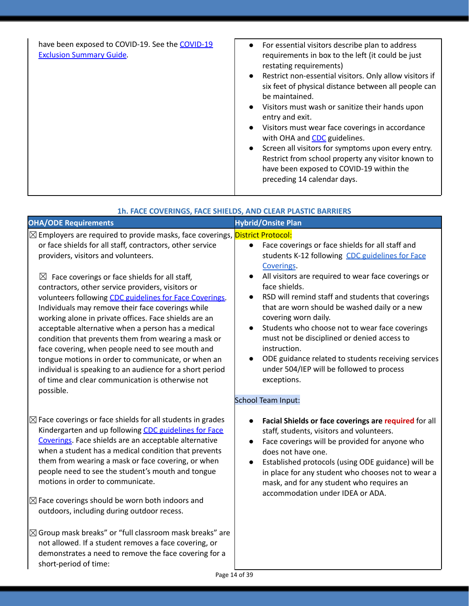| have been exposed to COVID-19. See the COVID-19<br><b>Exclusion Summary Guide.</b> | • For essential visitors describe plan to address<br>requirements in box to the left (it could be just<br>restating requirements)<br>Restrict non-essential visitors. Only allow visitors if<br>$\bullet$<br>six feet of physical distance between all people can<br>be maintained.<br>Visitors must wash or sanitize their hands upon<br>$\bullet$<br>entry and exit.<br>Visitors must wear face coverings in accordance<br>$\bullet$<br>with OHA and CDC guidelines.<br>Screen all visitors for symptoms upon every entry.<br>$\bullet$<br>Restrict from school property any visitor known to<br>have been exposed to COVID-19 within the |
|------------------------------------------------------------------------------------|---------------------------------------------------------------------------------------------------------------------------------------------------------------------------------------------------------------------------------------------------------------------------------------------------------------------------------------------------------------------------------------------------------------------------------------------------------------------------------------------------------------------------------------------------------------------------------------------------------------------------------------------|
|                                                                                    | preceding 14 calendar days.                                                                                                                                                                                                                                                                                                                                                                                                                                                                                                                                                                                                                 |

| 1h. FACE COVERINGS, FACE SHIELDS, AND CLEAR PLASTIC BARRIERS                                                                                                                                                                                                                                                                                                                                                                                                                                                                                                                                                                                                                                                                                                                                                            |                                                                                                                                                                                                                                                                                                                                                                                                                                                                                                                                                                                                                                                                                 |  |
|-------------------------------------------------------------------------------------------------------------------------------------------------------------------------------------------------------------------------------------------------------------------------------------------------------------------------------------------------------------------------------------------------------------------------------------------------------------------------------------------------------------------------------------------------------------------------------------------------------------------------------------------------------------------------------------------------------------------------------------------------------------------------------------------------------------------------|---------------------------------------------------------------------------------------------------------------------------------------------------------------------------------------------------------------------------------------------------------------------------------------------------------------------------------------------------------------------------------------------------------------------------------------------------------------------------------------------------------------------------------------------------------------------------------------------------------------------------------------------------------------------------------|--|
| <b>OHA/ODE Requirements</b>                                                                                                                                                                                                                                                                                                                                                                                                                                                                                                                                                                                                                                                                                                                                                                                             | <b>Hybrid/Onsite Plan</b>                                                                                                                                                                                                                                                                                                                                                                                                                                                                                                                                                                                                                                                       |  |
| $\boxtimes$ Employers are required to provide masks, face coverings,<br>or face shields for all staff, contractors, other service<br>providers, visitors and volunteers.<br>$\boxtimes$ Face coverings or face shields for all staff,<br>contractors, other service providers, visitors or<br>volunteers following CDC guidelines for Face Coverings.<br>Individuals may remove their face coverings while<br>working alone in private offices. Face shields are an<br>acceptable alternative when a person has a medical<br>condition that prevents them from wearing a mask or<br>face covering, when people need to see mouth and<br>tongue motions in order to communicate, or when an<br>individual is speaking to an audience for a short period<br>of time and clear communication is otherwise not<br>possible. | <b>District Protocol:</b><br>Face coverings or face shields for all staff and<br>$\bullet$<br>students K-12 following CDC guidelines for Face<br>Coverings.<br>All visitors are required to wear face coverings or<br>$\bullet$<br>face shields.<br>RSD will remind staff and students that coverings<br>$\bullet$<br>that are worn should be washed daily or a new<br>covering worn daily.<br>Students who choose not to wear face coverings<br>$\bullet$<br>must not be disciplined or denied access to<br>instruction.<br>ODE guidance related to students receiving services<br>$\bullet$<br>under 504/IEP will be followed to process<br>exceptions.<br>School Team Input: |  |
| $\boxtimes$ Face coverings or face shields for all students in grades<br>Kindergarten and up following CDC guidelines for Face<br>Coverings. Face shields are an acceptable alternative<br>when a student has a medical condition that prevents<br>them from wearing a mask or face covering, or when<br>people need to see the student's mouth and tongue<br>motions in order to communicate.<br>$\boxtimes$ Face coverings should be worn both indoors and<br>outdoors, including during outdoor recess.<br>⊠ Group mask breaks" or "full classroom mask breaks" are<br>not allowed. If a student removes a face covering, or<br>demonstrates a need to remove the face covering for a<br>short-period of time:                                                                                                       | Facial Shields or face coverings are required for all<br>$\bullet$<br>staff, students, visitors and volunteers.<br>Face coverings will be provided for anyone who<br>$\bullet$<br>does not have one.<br>Established protocols (using ODE guidance) will be<br>$\bullet$<br>in place for any student who chooses not to wear a<br>mask, and for any student who requires an<br>accommodation under IDEA or ADA.                                                                                                                                                                                                                                                                  |  |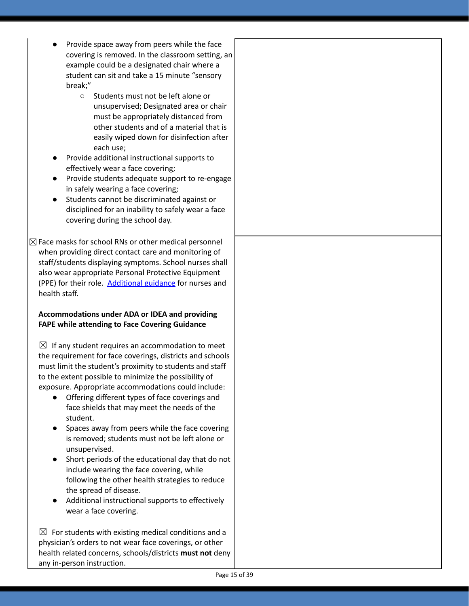- Provide space away from peers while the face covering is removed. In the classroom setting, an example could be a designated chair where a student can sit and take a 15 minute "sensory break;"
	- Students must not be left alone or unsupervised; Designated area or chair must be appropriately distanced from other students and of a material that is easily wiped down for disinfection after each use;
- Provide additional instructional supports to effectively wear a face covering;
- Provide students adequate support to re-engage in safely wearing a face covering;
- Students cannot be discriminated against or disciplined for an inability to safely wear a face covering during the school day.

 $\boxtimes$  Face masks for school RNs or other medical personnel when providing direct contact care and monitoring of staff/students displaying symptoms. School nurses shall also wear appropriate Personal Protective Equipment (PPE) for their role. [Additional](https://www.oregon.gov/ode/students-and-family/healthsafety/Documents/Additional%20Considerations%20for%20Staff%20Working%20with%20Students%20with%20Complex%20Needs.pdf) guidance for nurses and health staff.

### **Accommodations under ADA or IDEA and providing FAPE while attending to Face Covering Guidance**

 $\boxtimes$  If any student requires an accommodation to meet the requirement for face coverings, districts and schools must limit the student's proximity to students and staff to the extent possible to minimize the possibility of exposure. Appropriate accommodations could include:

- Offering different types of face coverings and face shields that may meet the needs of the student.
- Spaces away from peers while the face covering is removed; students must not be left alone or unsupervised.
- Short periods of the educational day that do not include wearing the face covering, while following the other health strategies to reduce the spread of disease.
- Additional instructional supports to effectively wear a face covering.

 $\boxtimes$  For students with existing medical conditions and a physician's orders to not wear face coverings, or other health related concerns, schools/districts **must not** deny any in-person instruction.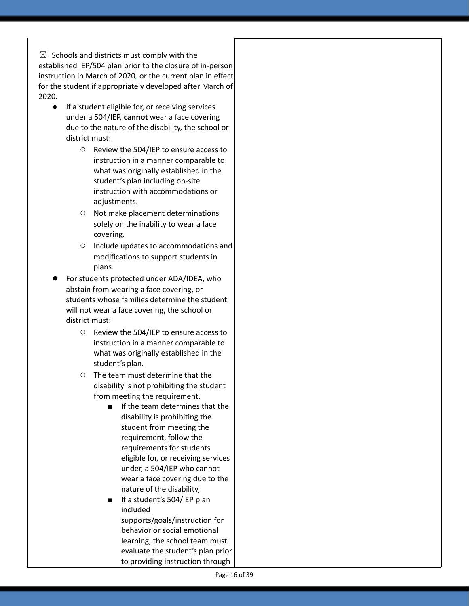$\boxtimes$  Schools and districts must comply with the established IEP/504 plan prior to the closure of in-person instruction in March of 2020*,* or the current plan in effect for the student if appropriately developed after March of 2020.

- If a student eligible for, or receiving services under a 504/IEP, **cannot** wear a face covering due to the nature of the disability, the school or district must:
	- Review the 504/IEP to ensure access to instruction in a manner comparable to what was originally established in the student's plan including on-site instruction with accommodations or adjustments.
	- Not make placement determinations solely on the inability to wear a face covering.
	- Include updates to accommodations and modifications to support students in plans.
- For students protected under ADA/IDEA, who abstain from wearing a face covering, or students whose families determine the student will not wear a face covering, the school or district must:
	- Review the 504/IEP to ensure access to instruction in a manner comparable to what was originally established in the student's plan.
	- The team must determine that the disability is not prohibiting the student from meeting the requirement.
		- If the team determines that the disability is prohibiting the student from meeting the requirement, follow the requirements for students eligible for, or receiving services under, a 504/IEP who cannot wear a face covering due to the nature of the disability,
		- If a student's 504/IEP plan included supports/goals/instruction for behavior or social emotional learning, the school team must evaluate the student's plan prior to providing instruction through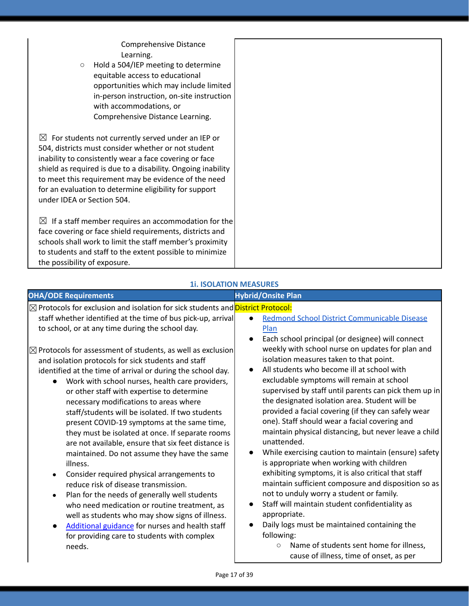Comprehensive Distance Learning.

○ Hold a 504/IEP meeting to determine equitable access to educational opportunities which may include limited in-person instruction, on-site instruction with accommodations, or Comprehensive Distance Learning.

 $\boxtimes$  For students not currently served under an IEP or 504, districts must consider whether or not student inability to consistently wear a face covering or face shield as required is due to a disability. Ongoing inability to meet this requirement may be evidence of the need for an evaluation to determine eligibility for support under IDEA or Section 504.

 $\boxtimes$  If a staff member requires an accommodation for the face covering or face shield requirements, districts and schools shall work to limit the staff member's proximity to students and staff to the extent possible to minimize the possibility of exposure.

| <b>OHA/ODE Requirements</b>                                                                     | <b>Hybrid/Onsite Plan</b>                                                                       |
|-------------------------------------------------------------------------------------------------|-------------------------------------------------------------------------------------------------|
| $\boxtimes$ Protocols for exclusion and isolation for sick students and District Protocol:      |                                                                                                 |
| staff whether identified at the time of bus pick-up, arrival                                    | Redmond School District Communicable Disease<br>$\bullet$                                       |
| to school, or at any time during the school day.                                                | Plan                                                                                            |
|                                                                                                 | Each school principal (or designee) will connect<br>$\bullet$                                   |
| $\mathbb Z$ Protocols for assessment of students, as well as exclusion                          | weekly with school nurse on updates for plan and                                                |
| and isolation protocols for sick students and staff                                             | isolation measures taken to that point.                                                         |
| identified at the time of arrival or during the school day.                                     | All students who become ill at school with<br>$\bullet$                                         |
| Work with school nurses, health care providers,                                                 | excludable symptoms will remain at school                                                       |
| or other staff with expertise to determine                                                      | supervised by staff until parents can pick them up in                                           |
| necessary modifications to areas where                                                          | the designated isolation area. Student will be                                                  |
| staff/students will be isolated. If two students                                                | provided a facial covering (if they can safely wear                                             |
| present COVID-19 symptoms at the same time,                                                     | one). Staff should wear a facial covering and                                                   |
| they must be isolated at once. If separate rooms                                                | maintain physical distancing, but never leave a child                                           |
| are not available, ensure that six feet distance is                                             | unattended.                                                                                     |
| maintained. Do not assume they have the same                                                    | While exercising caution to maintain (ensure) safety<br>$\bullet$                               |
| illness.                                                                                        | is appropriate when working with children                                                       |
| Consider required physical arrangements to<br>$\bullet$                                         | exhibiting symptoms, it is also critical that staff                                             |
| reduce risk of disease transmission.                                                            | maintain sufficient composure and disposition so as<br>not to unduly worry a student or family. |
| Plan for the needs of generally well students<br>$\bullet$                                      | Staff will maintain student confidentiality as<br>$\bullet$                                     |
| who need medication or routine treatment, as<br>well as students who may show signs of illness. | appropriate.                                                                                    |
| Additional guidance for nurses and health staff<br>$\bullet$                                    | Daily logs must be maintained containing the<br>$\bullet$                                       |
| for providing care to students with complex                                                     | following:                                                                                      |
|                                                                                                 | $\circ$                                                                                         |
|                                                                                                 |                                                                                                 |
| needs.                                                                                          | Name of students sent home for illness,<br>cause of illness, time of onset, as per              |

**1i. ISOLATION MEASURES**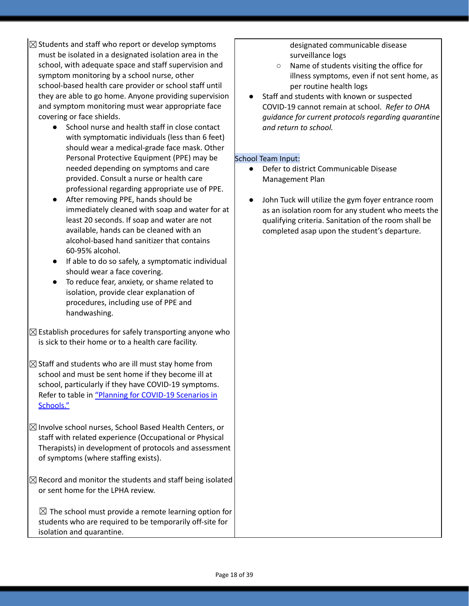- $\boxtimes$  Students and staff who report or develop symptoms must be isolated in a designated isolation area in the school, with adequate space and staff supervision and symptom monitoring by a school nurse, other school-based health care provider or school staff until they are able to go home. Anyone providing supervision and symptom monitoring must wear appropriate face covering or face shields.
	- School nurse and health staff in close contact with symptomatic individuals (less than 6 feet) should wear a medical-grade face mask. Other Personal Protective Equipment (PPE) may be needed depending on symptoms and care provided. Consult a nurse or health care professional regarding appropriate use of PPE.
	- After removing PPE, hands should be immediately cleaned with soap and water for at least 20 seconds. If soap and water are not available, hands can be cleaned with an alcohol-based hand sanitizer that contains 60-95% alcohol.
	- If able to do so safely, a symptomatic individual should wear a face covering.
	- To reduce fear, anxiety, or shame related to isolation, provide clear explanation of procedures, including use of PPE and handwashing.
- $\boxtimes$  Establish procedures for safely transporting anyone who is sick to their home or to a health care facility.
- $\boxtimes$  Staff and students who are ill must stay home from school and must be sent home if they become ill at school, particularly if they have COVID-19 symptoms. Refer to table in "Planning for [COVID-19](https://www.oregon.gov/ode/students-and-family/healthsafety/Documents/Planning%20and%20Responding%20to%20COVID-19%20Scenarios%20in%20Schools%20August%202020.pdf) Scenarios in [Schools."](https://www.oregon.gov/ode/students-and-family/healthsafety/Documents/Planning%20and%20Responding%20to%20COVID-19%20Scenarios%20in%20Schools%20August%202020.pdf)
- $\boxtimes$  Involve school nurses, School Based Health Centers, or staff with related experience (Occupational or Physical Therapists) in development of protocols and assessment of symptoms (where staffing exists).
- $\boxtimes$  Record and monitor the students and staff being isolated or sent home for the LPHA review.

 $\boxtimes$  The school must provide a remote learning option for students who are required to be temporarily off-site for isolation and quarantine.

designated communicable disease surveillance logs

- Name of students visiting the office for illness symptoms, even if not sent home, as per routine health logs
- Staff and students with known or suspected COVID-19 cannot remain at school. *Refer to OHA guidance for current protocols regarding quarantine and return to school.*

### School Team Input:

- Defer to district Communicable Disease Management Plan
- John Tuck will utilize the gym foyer entrance room as an isolation room for any student who meets the qualifying criteria. Sanitation of the room shall be completed asap upon the student's departure.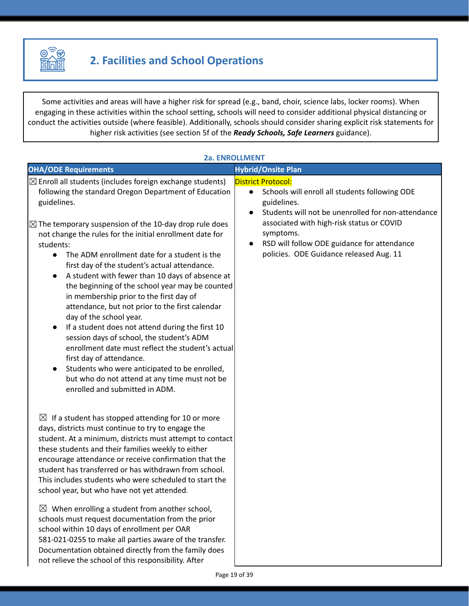

Some activities and areas will have a higher risk for spread (e.g., band, choir, science labs, locker rooms). When engaging in these activities within the school setting, schools will need to consider additional physical distancing or conduct the activities outside (where feasible). Additionally, schools should consider sharing explicit risk statements for higher risk activities (see section 5f of the *Ready Schools, Safe Learners* guidance).

|                                                                                                                                                                                                                                                                                                                                                                                                                                                                                                                                                                                                                                                                                                                                                                                                                                                                                                                                                                                         | 2a. ENROLLMENT                                                                                                                                                                                                                                                                                                                              |
|-----------------------------------------------------------------------------------------------------------------------------------------------------------------------------------------------------------------------------------------------------------------------------------------------------------------------------------------------------------------------------------------------------------------------------------------------------------------------------------------------------------------------------------------------------------------------------------------------------------------------------------------------------------------------------------------------------------------------------------------------------------------------------------------------------------------------------------------------------------------------------------------------------------------------------------------------------------------------------------------|---------------------------------------------------------------------------------------------------------------------------------------------------------------------------------------------------------------------------------------------------------------------------------------------------------------------------------------------|
| <b>OHA/ODE Requirements</b>                                                                                                                                                                                                                                                                                                                                                                                                                                                                                                                                                                                                                                                                                                                                                                                                                                                                                                                                                             | <b>Hybrid/Onsite Plan</b>                                                                                                                                                                                                                                                                                                                   |
| $\boxtimes$ Enroll all students (includes foreign exchange students)<br>following the standard Oregon Department of Education<br>guidelines.<br>$\boxtimes$ The temporary suspension of the 10-day drop rule does<br>not change the rules for the initial enrollment date for<br>students:<br>The ADM enrollment date for a student is the<br>$\bullet$<br>first day of the student's actual attendance.<br>A student with fewer than 10 days of absence at<br>$\bullet$<br>the beginning of the school year may be counted<br>in membership prior to the first day of<br>attendance, but not prior to the first calendar<br>day of the school year.<br>If a student does not attend during the first 10<br>$\bullet$<br>session days of school, the student's ADM<br>enrollment date must reflect the student's actual<br>first day of attendance.<br>Students who were anticipated to be enrolled,<br>but who do not attend at any time must not be<br>enrolled and submitted in ADM. | <b>District Protocol:</b><br>Schools will enroll all students following ODE<br>$\bullet$<br>guidelines.<br>Students will not be unenrolled for non-attendance<br>$\bullet$<br>associated with high-risk status or COVID<br>symptoms.<br>RSD will follow ODE guidance for attendance<br>$\bullet$<br>policies. ODE Guidance released Aug. 11 |
| $\boxtimes$ If a student has stopped attending for 10 or more<br>days, districts must continue to try to engage the<br>student. At a minimum, districts must attempt to contact<br>these students and their families weekly to either<br>encourage attendance or receive confirmation that the<br>student has transferred or has withdrawn from school.<br>This includes students who were scheduled to start the<br>school year, but who have not yet attended.<br>$\boxtimes$ When enrolling a student from another school,<br>schools must request documentation from the prior<br>school within 10 days of enrollment per OAR<br>581-021-0255 to make all parties aware of the transfer.<br>Documentation obtained directly from the family does<br>not relieve the school of this responsibility. After                                                                                                                                                                            |                                                                                                                                                                                                                                                                                                                                             |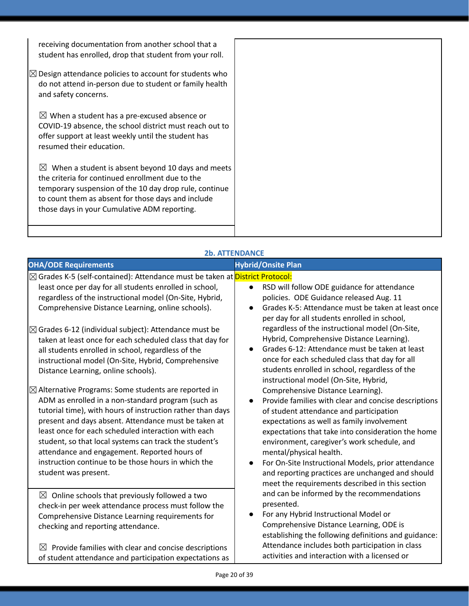receiving documentation from another school that a student has enrolled, drop that student from your roll.

 $\boxtimes$  Design attendance policies to account for students who do not attend in-person due to student or family health and safety concerns.

 $\boxtimes$  When a student has a pre-excused absence or COVID-19 absence, the school district must reach out to offer support at least weekly until the student has resumed their education.

 $\boxtimes$  When a student is absent beyond 10 days and meets the criteria for continued enrollment due to the temporary suspension of the 10 day drop rule, continue to count them as absent for those days and include those days in your Cumulative ADM reporting.



| <b>2b. ATTENDANCE</b>                                                                                                                                                                                                                                                                                                                                                                                                                                                                                                                                                                                                                                                                                                                                                                                                                                                                                                                                                                                                |                                                                                                                                                                                                                                                                                                                                                                                                                                                                                                                                                                                                                                                                                                                                                                                                                                                                                                                |  |
|----------------------------------------------------------------------------------------------------------------------------------------------------------------------------------------------------------------------------------------------------------------------------------------------------------------------------------------------------------------------------------------------------------------------------------------------------------------------------------------------------------------------------------------------------------------------------------------------------------------------------------------------------------------------------------------------------------------------------------------------------------------------------------------------------------------------------------------------------------------------------------------------------------------------------------------------------------------------------------------------------------------------|----------------------------------------------------------------------------------------------------------------------------------------------------------------------------------------------------------------------------------------------------------------------------------------------------------------------------------------------------------------------------------------------------------------------------------------------------------------------------------------------------------------------------------------------------------------------------------------------------------------------------------------------------------------------------------------------------------------------------------------------------------------------------------------------------------------------------------------------------------------------------------------------------------------|--|
| <b>OHA/ODE Requirements</b>                                                                                                                                                                                                                                                                                                                                                                                                                                                                                                                                                                                                                                                                                                                                                                                                                                                                                                                                                                                          | <b>Hybrid/Onsite Plan</b>                                                                                                                                                                                                                                                                                                                                                                                                                                                                                                                                                                                                                                                                                                                                                                                                                                                                                      |  |
| ⊠ Grades K-5 (self-contained): Attendance must be taken at District Protocol:<br>least once per day for all students enrolled in school,<br>regardless of the instructional model (On-Site, Hybrid,<br>Comprehensive Distance Learning, online schools).<br>$\boxtimes$ Grades 6-12 (individual subject): Attendance must be<br>taken at least once for each scheduled class that day for<br>all students enrolled in school, regardless of the<br>instructional model (On-Site, Hybrid, Comprehensive<br>Distance Learning, online schools).<br>$\boxtimes$ Alternative Programs: Some students are reported in<br>ADM as enrolled in a non-standard program (such as<br>tutorial time), with hours of instruction rather than days<br>present and days absent. Attendance must be taken at<br>least once for each scheduled interaction with each<br>student, so that local systems can track the student's<br>attendance and engagement. Reported hours of<br>instruction continue to be those hours in which the | RSD will follow ODE guidance for attendance<br>$\bullet$<br>policies. ODE Guidance released Aug. 11<br>Grades K-5: Attendance must be taken at least once<br>$\bullet$<br>per day for all students enrolled in school,<br>regardless of the instructional model (On-Site,<br>Hybrid, Comprehensive Distance Learning).<br>Grades 6-12: Attendance must be taken at least<br>once for each scheduled class that day for all<br>students enrolled in school, regardless of the<br>instructional model (On-Site, Hybrid,<br>Comprehensive Distance Learning).<br>Provide families with clear and concise descriptions<br>$\bullet$<br>of student attendance and participation<br>expectations as well as family involvement<br>expectations that take into consideration the home<br>environment, caregiver's work schedule, and<br>mental/physical health.<br>For On-Site Instructional Models, prior attendance |  |
| student was present.                                                                                                                                                                                                                                                                                                                                                                                                                                                                                                                                                                                                                                                                                                                                                                                                                                                                                                                                                                                                 | and reporting practices are unchanged and should<br>meet the requirements described in this section                                                                                                                                                                                                                                                                                                                                                                                                                                                                                                                                                                                                                                                                                                                                                                                                            |  |
| $\boxtimes$ Online schools that previously followed a two<br>check-in per week attendance process must follow the<br>Comprehensive Distance Learning requirements for<br>checking and reporting attendance.                                                                                                                                                                                                                                                                                                                                                                                                                                                                                                                                                                                                                                                                                                                                                                                                          | and can be informed by the recommendations<br>presented.<br>For any Hybrid Instructional Model or<br>$\bullet$<br>Comprehensive Distance Learning, ODE is<br>establishing the following definitions and guidance:                                                                                                                                                                                                                                                                                                                                                                                                                                                                                                                                                                                                                                                                                              |  |
| Provide families with clear and concise descriptions<br>$\bowtie$<br>of student attendance and participation expectations as                                                                                                                                                                                                                                                                                                                                                                                                                                                                                                                                                                                                                                                                                                                                                                                                                                                                                         | Attendance includes both participation in class<br>activities and interaction with a licensed or                                                                                                                                                                                                                                                                                                                                                                                                                                                                                                                                                                                                                                                                                                                                                                                                               |  |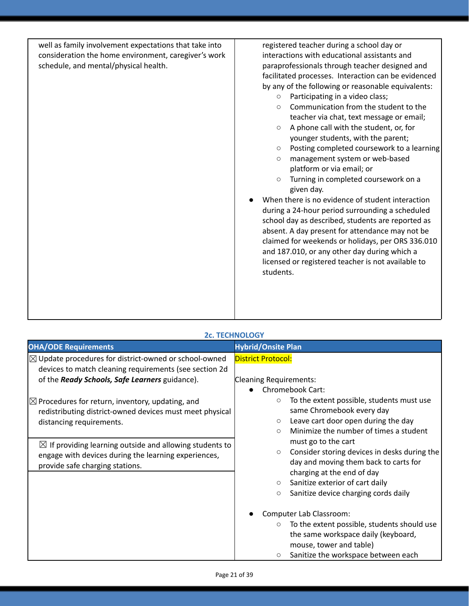| well as family involvement expectations that take into | registered teacher during a school day or             |
|--------------------------------------------------------|-------------------------------------------------------|
| consideration the home environment, caregiver's work   | interactions with educational assistants and          |
| schedule, and mental/physical health.                  | paraprofessionals through teacher designed and        |
|                                                        | facilitated processes. Interaction can be evidenced   |
|                                                        | by any of the following or reasonable equivalents:    |
|                                                        | Participating in a video class;<br>$\circ$            |
|                                                        | Communication from the student to the<br>$\circ$      |
|                                                        | teacher via chat, text message or email;              |
|                                                        | A phone call with the student, or, for<br>$\circ$     |
|                                                        | younger students, with the parent;                    |
|                                                        | Posting completed coursework to a learning<br>$\circ$ |
|                                                        | management system or web-based<br>$\circ$             |
|                                                        | platform or via email; or                             |
|                                                        | Turning in completed coursework on a<br>$\circ$       |
|                                                        | given day.                                            |
|                                                        | When there is no evidence of student interaction      |
|                                                        | during a 24-hour period surrounding a scheduled       |
|                                                        | school day as described, students are reported as     |
|                                                        | absent. A day present for attendance may not be       |
|                                                        | claimed for weekends or holidays, per ORS 336.010     |
|                                                        | and 187.010, or any other day during which a          |
|                                                        | licensed or registered teacher is not available to    |
|                                                        | students.                                             |
|                                                        |                                                       |
|                                                        |                                                       |
|                                                        |                                                       |
|                                                        |                                                       |

| <b>2c. TECHNOLOGY</b>                                                                                                                                                        |                                                                                                                                                                                                                                                        |  |
|------------------------------------------------------------------------------------------------------------------------------------------------------------------------------|--------------------------------------------------------------------------------------------------------------------------------------------------------------------------------------------------------------------------------------------------------|--|
| <b>OHA/ODE Requirements</b>                                                                                                                                                  | <b>Hybrid/Onsite Plan</b>                                                                                                                                                                                                                              |  |
| $\boxtimes$ Update procedures for district-owned or school-owned<br>devices to match cleaning requirements (see section 2d<br>of the Ready Schools, Safe Learners guidance). | <b>District Protocol:</b><br><b>Cleaning Requirements:</b><br><b>Chromebook Cart:</b>                                                                                                                                                                  |  |
| $\boxtimes$ Procedures for return, inventory, updating, and<br>redistributing district-owned devices must meet physical<br>distancing requirements.                          | To the extent possible, students must use<br>$\circ$<br>same Chromebook every day<br>Leave cart door open during the day<br>$\circ$<br>Minimize the number of times a student<br>$\Omega$                                                              |  |
| $\boxtimes$ If providing learning outside and allowing students to<br>engage with devices during the learning experiences,<br>provide safe charging stations.                | must go to the cart<br>Consider storing devices in desks during the<br>$\circ$<br>day and moving them back to carts for<br>charging at the end of day<br>Sanitize exterior of cart daily<br>$\circ$<br>Sanitize device charging cords daily<br>$\circ$ |  |
|                                                                                                                                                                              | Computer Lab Classroom:<br>To the extent possible, students should use<br>$\circ$<br>the same workspace daily (keyboard,<br>mouse, tower and table)<br>Sanitize the workspace between each<br>$\circlearrowright$                                      |  |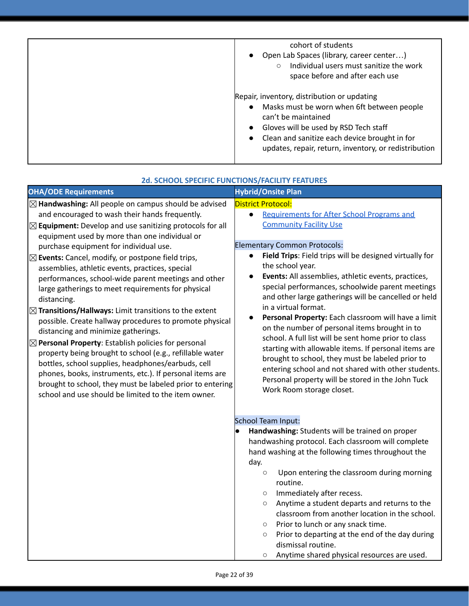| cohort of students<br>Open Lab Spaces (library, career center)<br>Individual users must sanitize the work<br>$\circ$<br>space before and after each use                                                                                                             |
|---------------------------------------------------------------------------------------------------------------------------------------------------------------------------------------------------------------------------------------------------------------------|
| Repair, inventory, distribution or updating<br>Masks must be worn when 6ft between people<br>can't be maintained<br>Gloves will be used by RSD Tech staff<br>Clean and sanitize each device brought in for<br>updates, repair, return, inventory, or redistribution |

| <b>OHA/ODE Requirements</b>                                                                                                                                                                                                                                                                                                                                                                                                                                                                                                                                                                             | <b>Hybrid/Onsite Plan</b>                                                                                                                                                                                                                                                                                                                                                                                                              |
|---------------------------------------------------------------------------------------------------------------------------------------------------------------------------------------------------------------------------------------------------------------------------------------------------------------------------------------------------------------------------------------------------------------------------------------------------------------------------------------------------------------------------------------------------------------------------------------------------------|----------------------------------------------------------------------------------------------------------------------------------------------------------------------------------------------------------------------------------------------------------------------------------------------------------------------------------------------------------------------------------------------------------------------------------------|
| $\boxtimes$ Handwashing: All people on campus should be advised<br>and encouraged to wash their hands frequently.<br>$\boxtimes$ Equipment: Develop and use sanitizing protocols for all<br>equipment used by more than one individual or<br>purchase equipment for individual use.<br>$\boxtimes$ Events: Cancel, modify, or postpone field trips,<br>assemblies, athletic events, practices, special<br>performances, school-wide parent meetings and other<br>large gatherings to meet requirements for physical<br>distancing.<br>$\boxtimes$ Transitions/Hallways: Limit transitions to the extent | District Protocol:<br><b>Requirements for After School Programs and</b><br>$\bullet$<br><b>Community Facility Use</b><br><b>Elementary Common Protocols:</b><br>Field Trips: Field trips will be designed virtually for<br>the school year.<br>Events: All assemblies, athletic events, practices,<br>special performances, schoolwide parent meetings<br>and other large gatherings will be cancelled or held<br>in a virtual format. |
| possible. Create hallway procedures to promote physical<br>distancing and minimize gatherings.<br>$\boxtimes$ Personal Property: Establish policies for personal<br>property being brought to school (e.g., refillable water<br>bottles, school supplies, headphones/earbuds, cell<br>phones, books, instruments, etc.). If personal items are<br>brought to school, they must be labeled prior to entering<br>school and use should be limited to the item owner.                                                                                                                                      | Personal Property: Each classroom will have a limit<br>on the number of personal items brought in to<br>school. A full list will be sent home prior to class<br>starting with allowable items. If personal items are<br>brought to school, they must be labeled prior to<br>entering school and not shared with other students.<br>Personal property will be stored in the John Tuck<br>Work Room storage closet.                      |
|                                                                                                                                                                                                                                                                                                                                                                                                                                                                                                                                                                                                         | School Team Input:<br>Handwashing: Students will be trained on proper                                                                                                                                                                                                                                                                                                                                                                  |
|                                                                                                                                                                                                                                                                                                                                                                                                                                                                                                                                                                                                         | handwashing protocol. Each classroom will complete<br>hand washing at the following times throughout the                                                                                                                                                                                                                                                                                                                               |
|                                                                                                                                                                                                                                                                                                                                                                                                                                                                                                                                                                                                         | day.                                                                                                                                                                                                                                                                                                                                                                                                                                   |
|                                                                                                                                                                                                                                                                                                                                                                                                                                                                                                                                                                                                         | Upon entering the classroom during morning<br>$\circ$<br>routine.                                                                                                                                                                                                                                                                                                                                                                      |
|                                                                                                                                                                                                                                                                                                                                                                                                                                                                                                                                                                                                         | Immediately after recess.<br>$\circ$                                                                                                                                                                                                                                                                                                                                                                                                   |
|                                                                                                                                                                                                                                                                                                                                                                                                                                                                                                                                                                                                         | Anytime a student departs and returns to the<br>$\circ$                                                                                                                                                                                                                                                                                                                                                                                |
|                                                                                                                                                                                                                                                                                                                                                                                                                                                                                                                                                                                                         | classroom from another location in the school.                                                                                                                                                                                                                                                                                                                                                                                         |
|                                                                                                                                                                                                                                                                                                                                                                                                                                                                                                                                                                                                         | Prior to lunch or any snack time.<br>$\circ$<br>Prior to departing at the end of the day during<br>$\bigcirc$                                                                                                                                                                                                                                                                                                                          |
|                                                                                                                                                                                                                                                                                                                                                                                                                                                                                                                                                                                                         | dismissal routine.                                                                                                                                                                                                                                                                                                                                                                                                                     |
|                                                                                                                                                                                                                                                                                                                                                                                                                                                                                                                                                                                                         | Anytime shared physical resources are used.<br>$\bigcirc$                                                                                                                                                                                                                                                                                                                                                                              |

#### **2d. SCHOOL SPECIFIC FUNCTIONS/FACILITY FEATURES**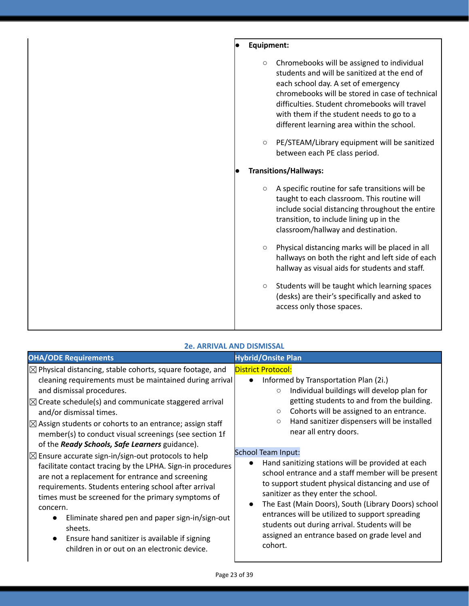| Equipment:                                                                                                                                                                                |                                                                                                                                                                                                                                                                                                                                                                                                                                                                                                                |
|-------------------------------------------------------------------------------------------------------------------------------------------------------------------------------------------|----------------------------------------------------------------------------------------------------------------------------------------------------------------------------------------------------------------------------------------------------------------------------------------------------------------------------------------------------------------------------------------------------------------------------------------------------------------------------------------------------------------|
| students and will be sanitized at the end of<br>each school day. A set of emergency<br>with them if the student needs to go to a<br>different learning area within the school.<br>$\circ$ |                                                                                                                                                                                                                                                                                                                                                                                                                                                                                                                |
| between each PE class period.                                                                                                                                                             |                                                                                                                                                                                                                                                                                                                                                                                                                                                                                                                |
| <b>Transitions/Hallways:</b>                                                                                                                                                              |                                                                                                                                                                                                                                                                                                                                                                                                                                                                                                                |
| $\circ$<br>taught to each classroom. This routine will<br>transition, to include lining up in the<br>classroom/hallway and destination.                                                   |                                                                                                                                                                                                                                                                                                                                                                                                                                                                                                                |
| $\circlearrowright$                                                                                                                                                                       |                                                                                                                                                                                                                                                                                                                                                                                                                                                                                                                |
| $\bigcirc$<br>(desks) are their's specifically and asked to<br>access only those spaces.                                                                                                  |                                                                                                                                                                                                                                                                                                                                                                                                                                                                                                                |
|                                                                                                                                                                                           | Chromebooks will be assigned to individual<br>chromebooks will be stored in case of technical<br>difficulties. Student chromebooks will travel<br>PE/STEAM/Library equipment will be sanitized<br>A specific routine for safe transitions will be<br>include social distancing throughout the entire<br>Physical distancing marks will be placed in all<br>hallways on both the right and left side of each<br>hallway as visual aids for students and staff.<br>Students will be taught which learning spaces |

| <b>2e. ARRIVAL AND DISMISSAL</b>                                                                                                                                                                                                                                                                                                                                                                                                                                                                                                                                                                                                                                                                                                                                                                                                                                                                                           |                                                                                                                                                                                                                                                                                                                                                                                                                                                                                                                                                                                                                                                                                                                                                                                                                |  |
|----------------------------------------------------------------------------------------------------------------------------------------------------------------------------------------------------------------------------------------------------------------------------------------------------------------------------------------------------------------------------------------------------------------------------------------------------------------------------------------------------------------------------------------------------------------------------------------------------------------------------------------------------------------------------------------------------------------------------------------------------------------------------------------------------------------------------------------------------------------------------------------------------------------------------|----------------------------------------------------------------------------------------------------------------------------------------------------------------------------------------------------------------------------------------------------------------------------------------------------------------------------------------------------------------------------------------------------------------------------------------------------------------------------------------------------------------------------------------------------------------------------------------------------------------------------------------------------------------------------------------------------------------------------------------------------------------------------------------------------------------|--|
| <b>OHA/ODE Requirements</b>                                                                                                                                                                                                                                                                                                                                                                                                                                                                                                                                                                                                                                                                                                                                                                                                                                                                                                | <b>Hybrid/Onsite Plan</b>                                                                                                                                                                                                                                                                                                                                                                                                                                                                                                                                                                                                                                                                                                                                                                                      |  |
| $\boxtimes$ Physical distancing, stable cohorts, square footage, and<br>cleaning requirements must be maintained during arrival<br>and dismissal procedures.<br>$\boxtimes$ Create schedule(s) and communicate staggered arrival<br>and/or dismissal times.<br>$\boxtimes$ Assign students or cohorts to an entrance; assign staff<br>member(s) to conduct visual screenings (see section 1f<br>of the Ready Schools, Safe Learners guidance).<br>$\boxtimes$ Ensure accurate sign-in/sign-out protocols to help<br>facilitate contact tracing by the LPHA. Sign-in procedures<br>are not a replacement for entrance and screening<br>requirements. Students entering school after arrival<br>times must be screened for the primary symptoms of<br>concern.<br>Eliminate shared pen and paper sign-in/sign-out<br>sheets.<br>Ensure hand sanitizer is available if signing<br>children in or out on an electronic device. | <b>District Protocol:</b><br>Informed by Transportation Plan (2i.)<br>$\bullet$<br>Individual buildings will develop plan for<br>$\circ$<br>getting students to and from the building.<br>Cohorts will be assigned to an entrance.<br>$\circ$<br>Hand sanitizer dispensers will be installed<br>$\circ$<br>near all entry doors.<br>School Team Input:<br>Hand sanitizing stations will be provided at each<br>$\bullet$<br>school entrance and a staff member will be present<br>to support student physical distancing and use of<br>sanitizer as they enter the school.<br>The East (Main Doors), South (Library Doors) school<br>$\bullet$<br>entrances will be utilized to support spreading<br>students out during arrival. Students will be<br>assigned an entrance based on grade level and<br>cohort. |  |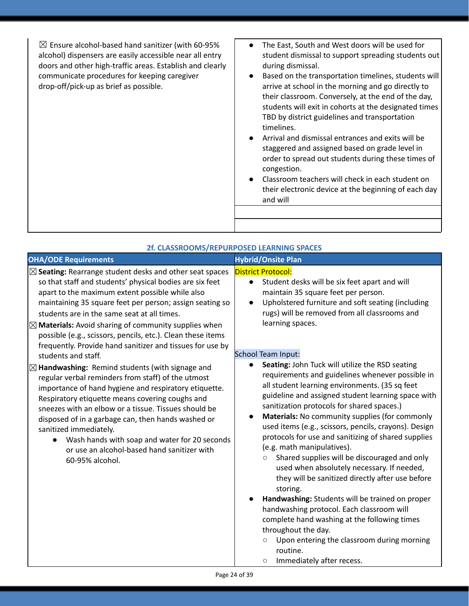$\boxtimes$  Ensure alcohol-based hand sanitizer (with 60-95% alcohol) dispensers are easily accessible near all entry doors and other high-traffic areas. Establish and clearly communicate procedures for keeping caregiver drop-off/pick-up as brief as possible.

- The East, South and West doors will be used for student dismissal to support spreading students out during dismissal.
- Based on the transportation timelines, students will arrive at school in the morning and go directly to their classroom. Conversely, at the end of the day, students will exit in cohorts at the designated times TBD by district guidelines and transportation timelines.
- Arrival and dismissal entrances and exits will be staggered and assigned based on grade level in order to spread out students during these times of congestion.
- Classroom teachers will check in each student on their electronic device at the beginning of each day and will

| 2f. CLASSROOMS/REPURPOSED LEARNING SPACES                                                                                                                                                                                                                                                                                                                                                                                                                                                                                                                                                                                                                                                                                                                                                                                                                                                                                                                                                                                  |                                                                                                                                                                                                                                                                                                                                                                                                                                                                                                                                                                                                                                                                                                                                                                                                                                                                                                                                                                                                                                                                                                                                                                                                                                          |  |
|----------------------------------------------------------------------------------------------------------------------------------------------------------------------------------------------------------------------------------------------------------------------------------------------------------------------------------------------------------------------------------------------------------------------------------------------------------------------------------------------------------------------------------------------------------------------------------------------------------------------------------------------------------------------------------------------------------------------------------------------------------------------------------------------------------------------------------------------------------------------------------------------------------------------------------------------------------------------------------------------------------------------------|------------------------------------------------------------------------------------------------------------------------------------------------------------------------------------------------------------------------------------------------------------------------------------------------------------------------------------------------------------------------------------------------------------------------------------------------------------------------------------------------------------------------------------------------------------------------------------------------------------------------------------------------------------------------------------------------------------------------------------------------------------------------------------------------------------------------------------------------------------------------------------------------------------------------------------------------------------------------------------------------------------------------------------------------------------------------------------------------------------------------------------------------------------------------------------------------------------------------------------------|--|
| <b>OHA/ODE Requirements</b>                                                                                                                                                                                                                                                                                                                                                                                                                                                                                                                                                                                                                                                                                                                                                                                                                                                                                                                                                                                                | <b>Hybrid/Onsite Plan</b>                                                                                                                                                                                                                                                                                                                                                                                                                                                                                                                                                                                                                                                                                                                                                                                                                                                                                                                                                                                                                                                                                                                                                                                                                |  |
| $\boxtimes$ Seating: Rearrange student desks and other seat spaces<br>so that staff and students' physical bodies are six feet<br>apart to the maximum extent possible while also<br>maintaining 35 square feet per person; assign seating so<br>students are in the same seat at all times.<br>$\boxtimes$ Materials: Avoid sharing of community supplies when<br>possible (e.g., scissors, pencils, etc.). Clean these items<br>frequently. Provide hand sanitizer and tissues for use by<br>students and staff.<br>$\boxtimes$ Handwashing: Remind students (with signage and<br>regular verbal reminders from staff) of the utmost<br>importance of hand hygiene and respiratory etiquette.<br>Respiratory etiquette means covering coughs and<br>sneezes with an elbow or a tissue. Tissues should be<br>disposed of in a garbage can, then hands washed or<br>sanitized immediately.<br>Wash hands with soap and water for 20 seconds<br>$\bullet$<br>or use an alcohol-based hand sanitizer with<br>60-95% alcohol. | District Protocol:<br>Student desks will be six feet apart and will<br>$\bullet$<br>maintain 35 square feet per person.<br>Upholstered furniture and soft seating (including<br>$\bullet$<br>rugs) will be removed from all classrooms and<br>learning spaces.<br>School Team Input:<br>Seating: John Tuck will utilize the RSD seating<br>$\bullet$<br>requirements and guidelines whenever possible in<br>all student learning environments. (35 sq feet<br>guideline and assigned student learning space with<br>sanitization protocols for shared spaces.)<br>Materials: No community supplies (for commonly<br>$\bullet$<br>used items (e.g., scissors, pencils, crayons). Design<br>protocols for use and sanitizing of shared supplies<br>(e.g. math manipulatives).<br>Shared supplies will be discouraged and only<br>$\circ$<br>used when absolutely necessary. If needed,<br>they will be sanitized directly after use before<br>storing.<br>Handwashing: Students will be trained on proper<br>handwashing protocol. Each classroom will<br>complete hand washing at the following times<br>throughout the day.<br>Upon entering the classroom during morning<br>$\circ$<br>routine.<br>Immediately after recess.<br>$\circ$ |  |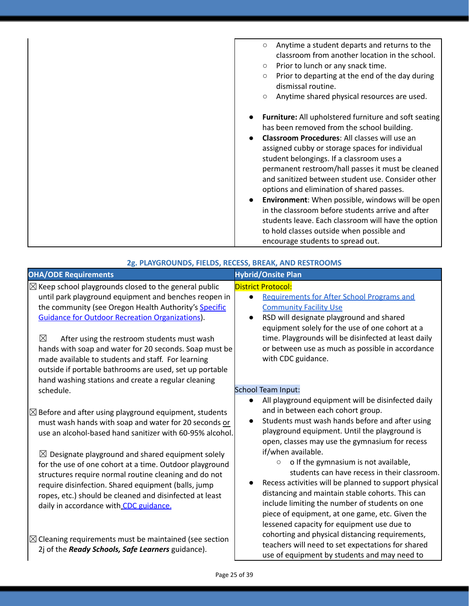|  | Anytime a student departs and returns to the<br>$\circ$<br>classroom from another location in the school.<br>Prior to lunch or any snack time.<br>$\circ$<br>Prior to departing at the end of the day during<br>O<br>dismissal routine.                                                                                                                                                                                                                                                                                                                                            |
|--|------------------------------------------------------------------------------------------------------------------------------------------------------------------------------------------------------------------------------------------------------------------------------------------------------------------------------------------------------------------------------------------------------------------------------------------------------------------------------------------------------------------------------------------------------------------------------------|
|  | Anytime shared physical resources are used.<br>O                                                                                                                                                                                                                                                                                                                                                                                                                                                                                                                                   |
|  | Furniture: All upholstered furniture and soft seating<br>has been removed from the school building.<br>Classroom Procedures: All classes will use an<br>assigned cubby or storage spaces for individual<br>student belongings. If a classroom uses a<br>permanent restroom/hall passes it must be cleaned<br>and sanitized between student use. Consider other<br>options and elimination of shared passes.<br><b>Environment:</b> When possible, windows will be open<br>in the classroom before students arrive and after<br>students leave. Each classroom will have the option |
|  | to hold classes outside when possible and<br>encourage students to spread out.                                                                                                                                                                                                                                                                                                                                                                                                                                                                                                     |
|  |                                                                                                                                                                                                                                                                                                                                                                                                                                                                                                                                                                                    |

| 2g. PLAYGROUNDS, FIELDS, RECESS, BREAK, AND RESTROOMS                                                                                                                                                                                                                                                                                                                                                                                                                                                                                                     |                                                                                                                                                                                                                                                                                                                                                                                                                                                                                                                                                                                               |  |
|-----------------------------------------------------------------------------------------------------------------------------------------------------------------------------------------------------------------------------------------------------------------------------------------------------------------------------------------------------------------------------------------------------------------------------------------------------------------------------------------------------------------------------------------------------------|-----------------------------------------------------------------------------------------------------------------------------------------------------------------------------------------------------------------------------------------------------------------------------------------------------------------------------------------------------------------------------------------------------------------------------------------------------------------------------------------------------------------------------------------------------------------------------------------------|--|
| <b>OHA/ODE Requirements</b>                                                                                                                                                                                                                                                                                                                                                                                                                                                                                                                               | <b>Hybrid/Onsite Plan</b>                                                                                                                                                                                                                                                                                                                                                                                                                                                                                                                                                                     |  |
| $\boxtimes$ Keep school playgrounds closed to the general public<br>until park playground equipment and benches reopen in<br>the community (see Oregon Health Authority's Specific<br><b>Guidance for Outdoor Recreation Organizations).</b><br>$\boxtimes$<br>After using the restroom students must wash<br>hands with soap and water for 20 seconds. Soap must be<br>made available to students and staff. For learning<br>outside if portable bathrooms are used, set up portable<br>hand washing stations and create a regular cleaning<br>schedule. | District Protocol:<br><b>Requirements for After School Programs and</b><br>$\bullet$<br><b>Community Facility Use</b><br>RSD will designate playground and shared<br>$\bullet$<br>equipment solely for the use of one cohort at a<br>time. Playgrounds will be disinfected at least daily<br>or between use as much as possible in accordance<br>with CDC guidance.<br>School Team Input:<br>All playground equipment will be disinfected daily<br>$\bullet$                                                                                                                                  |  |
| $\boxtimes$ Before and after using playground equipment, students<br>must wash hands with soap and water for 20 seconds or<br>use an alcohol-based hand sanitizer with 60-95% alcohol.<br>$\boxtimes$ Designate playground and shared equipment solely<br>for the use of one cohort at a time. Outdoor playground<br>structures require normal routine cleaning and do not<br>require disinfection. Shared equipment (balls, jump<br>ropes, etc.) should be cleaned and disinfected at least<br>daily in accordance with CDC guidance.                    | and in between each cohort group.<br>Students must wash hands before and after using<br>$\bullet$<br>playground equipment. Until the playground is<br>open, classes may use the gymnasium for recess<br>if/when available.<br>o If the gymnasium is not available,<br>$\circ$<br>students can have recess in their classroom.<br>Recess activities will be planned to support physical<br>distancing and maintain stable cohorts. This can<br>include limiting the number of students on one<br>piece of equipment, at one game, etc. Given the<br>lessened capacity for equipment use due to |  |
| $\boxtimes$ Cleaning requirements must be maintained (see section<br>2j of the Ready Schools, Safe Learners guidance).                                                                                                                                                                                                                                                                                                                                                                                                                                    | cohorting and physical distancing requirements,<br>teachers will need to set expectations for shared<br>use of equipment by students and may need to                                                                                                                                                                                                                                                                                                                                                                                                                                          |  |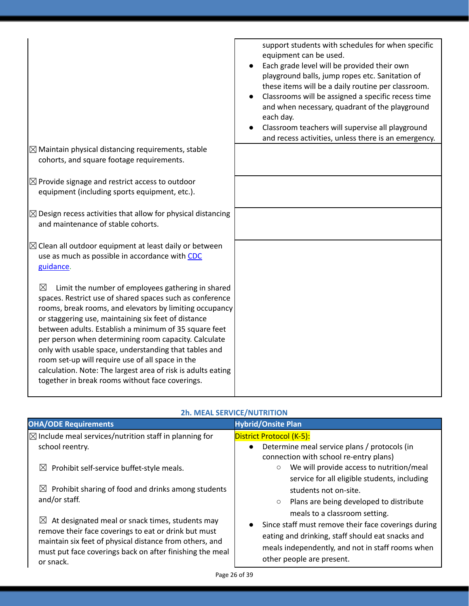|                                                                                                                                                                                                                                                                                                                                                                                                                                                                                                                                                                                                 | support students with schedules for when specific<br>equipment can be used.<br>Each grade level will be provided their own<br>playground balls, jump ropes etc. Sanitation of<br>these items will be a daily routine per classroom.<br>Classrooms will be assigned a specific recess time<br>and when necessary, quadrant of the playground<br>each day.<br>Classroom teachers will supervise all playground<br>and recess activities, unless there is an emergency. |
|-------------------------------------------------------------------------------------------------------------------------------------------------------------------------------------------------------------------------------------------------------------------------------------------------------------------------------------------------------------------------------------------------------------------------------------------------------------------------------------------------------------------------------------------------------------------------------------------------|----------------------------------------------------------------------------------------------------------------------------------------------------------------------------------------------------------------------------------------------------------------------------------------------------------------------------------------------------------------------------------------------------------------------------------------------------------------------|
| $\boxtimes$ Maintain physical distancing requirements, stable<br>cohorts, and square footage requirements.                                                                                                                                                                                                                                                                                                                                                                                                                                                                                      |                                                                                                                                                                                                                                                                                                                                                                                                                                                                      |
| $\boxtimes$ Provide signage and restrict access to outdoor<br>equipment (including sports equipment, etc.).                                                                                                                                                                                                                                                                                                                                                                                                                                                                                     |                                                                                                                                                                                                                                                                                                                                                                                                                                                                      |
| $\boxtimes$ Design recess activities that allow for physical distancing<br>and maintenance of stable cohorts.                                                                                                                                                                                                                                                                                                                                                                                                                                                                                   |                                                                                                                                                                                                                                                                                                                                                                                                                                                                      |
| $\boxtimes$ Clean all outdoor equipment at least daily or between<br>use as much as possible in accordance with CDC<br>guidance.                                                                                                                                                                                                                                                                                                                                                                                                                                                                |                                                                                                                                                                                                                                                                                                                                                                                                                                                                      |
| $\boxtimes$<br>Limit the number of employees gathering in shared<br>spaces. Restrict use of shared spaces such as conference<br>rooms, break rooms, and elevators by limiting occupancy<br>or staggering use, maintaining six feet of distance<br>between adults. Establish a minimum of 35 square feet<br>per person when determining room capacity. Calculate<br>only with usable space, understanding that tables and<br>room set-up will require use of all space in the<br>calculation. Note: The largest area of risk is adults eating<br>together in break rooms without face coverings. |                                                                                                                                                                                                                                                                                                                                                                                                                                                                      |

### **2h. MEAL SERVICE/NUTRITION**

| <b>OHA/ODE Requirements</b>                                           | <b>Hybrid/Onsite Plan</b>                                        |
|-----------------------------------------------------------------------|------------------------------------------------------------------|
| $\boxtimes$ Include meal services/nutrition staff in planning for     | District Protocol (K-5):                                         |
| school reentry.                                                       | Determine meal service plans / protocols (in<br>$\bullet$        |
|                                                                       | connection with school re-entry plans)                           |
| $\boxtimes$ Prohibit self-service buffet-style meals.                 | We will provide access to nutrition/meal<br>$\circ$              |
|                                                                       | service for all eligible students, including                     |
| Prohibit sharing of food and drinks among students<br>$\bowtie$       | students not on-site.                                            |
| and/or staff.                                                         | Plans are being developed to distribute<br>$\circ$               |
|                                                                       | meals to a classroom setting.                                    |
| At designated meal or snack times, students may<br>$\boxtimes$        | Since staff must remove their face coverings during<br>$\bullet$ |
| remove their face coverings to eat or drink but must                  | eating and drinking, staff should eat snacks and                 |
| maintain six feet of physical distance from others, and               | meals independently, and not in staff rooms when                 |
| must put face coverings back on after finishing the meal<br>or snack. | other people are present.                                        |
|                                                                       |                                                                  |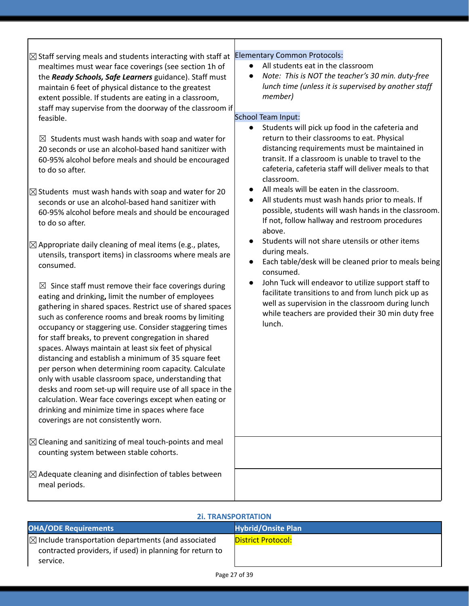| $\boxtimes$ Staff serving meals and students interacting with staff at<br>mealtimes must wear face coverings (see section 1h of<br>the Ready Schools, Safe Learners guidance). Staff must<br>maintain 6 feet of physical distance to the greatest<br>extent possible. If students are eating in a classroom,<br>staff may supervise from the doorway of the classroom if<br>feasible.                                                                                                                                                                                                                                                                                                                                                                                                                           | <b>Elementary Common Protocols:</b><br>All students eat in the classroom<br>$\bullet$<br>Note: This is NOT the teacher's 30 min. duty-free<br>$\bullet$<br>lunch time (unless it is supervised by another staff<br>member)<br>School Team Input:                                          |
|-----------------------------------------------------------------------------------------------------------------------------------------------------------------------------------------------------------------------------------------------------------------------------------------------------------------------------------------------------------------------------------------------------------------------------------------------------------------------------------------------------------------------------------------------------------------------------------------------------------------------------------------------------------------------------------------------------------------------------------------------------------------------------------------------------------------|-------------------------------------------------------------------------------------------------------------------------------------------------------------------------------------------------------------------------------------------------------------------------------------------|
| $\boxtimes$ Students must wash hands with soap and water for<br>20 seconds or use an alcohol-based hand sanitizer with<br>60-95% alcohol before meals and should be encouraged<br>to do so after.                                                                                                                                                                                                                                                                                                                                                                                                                                                                                                                                                                                                               | Students will pick up food in the cafeteria and<br>$\bullet$<br>return to their classrooms to eat. Physical<br>distancing requirements must be maintained in<br>transit. If a classroom is unable to travel to the<br>cafeteria, cafeteria staff will deliver meals to that<br>classroom. |
| $\boxtimes$ Students must wash hands with soap and water for 20<br>seconds or use an alcohol-based hand sanitizer with<br>60-95% alcohol before meals and should be encouraged<br>to do so after.                                                                                                                                                                                                                                                                                                                                                                                                                                                                                                                                                                                                               | All meals will be eaten in the classroom.<br>All students must wash hands prior to meals. If<br>$\bullet$<br>possible, students will wash hands in the classroom.<br>If not, follow hallway and restroom procedures<br>above.                                                             |
| $\boxtimes$ Appropriate daily cleaning of meal items (e.g., plates,<br>utensils, transport items) in classrooms where meals are<br>consumed.                                                                                                                                                                                                                                                                                                                                                                                                                                                                                                                                                                                                                                                                    | Students will not share utensils or other items<br>during meals.<br>Each table/desk will be cleaned prior to meals being<br>consumed.                                                                                                                                                     |
| $\boxtimes$ Since staff must remove their face coverings during<br>eating and drinking, limit the number of employees<br>gathering in shared spaces. Restrict use of shared spaces<br>such as conference rooms and break rooms by limiting<br>occupancy or staggering use. Consider staggering times<br>for staff breaks, to prevent congregation in shared<br>spaces. Always maintain at least six feet of physical<br>distancing and establish a minimum of 35 square feet<br>per person when determining room capacity. Calculate<br>only with usable classroom space, understanding that<br>desks and room set-up will require use of all space in the<br>calculation. Wear face coverings except when eating or<br>drinking and minimize time in spaces where face<br>coverings are not consistently worn. | John Tuck will endeavor to utilize support staff to<br>facilitate transitions to and from lunch pick up as<br>well as supervision in the classroom during lunch<br>while teachers are provided their 30 min duty free<br>lunch.                                                           |
| $\boxtimes$ Cleaning and sanitizing of meal touch-points and meal<br>counting system between stable cohorts.                                                                                                                                                                                                                                                                                                                                                                                                                                                                                                                                                                                                                                                                                                    |                                                                                                                                                                                                                                                                                           |
| $\boxtimes$ Adequate cleaning and disinfection of tables between<br>meal periods.                                                                                                                                                                                                                                                                                                                                                                                                                                                                                                                                                                                                                                                                                                                               |                                                                                                                                                                                                                                                                                           |

### **2i. TRANSPORTATION**

| <b>OHA/ODE Requirements</b>                                                                                                             | <b>Hybrid/Onsite Plan</b> |
|-----------------------------------------------------------------------------------------------------------------------------------------|---------------------------|
| $ \boxtimes$ Include transportation departments (and associated<br>contracted providers, if used) in planning for return to<br>service. | District Protocol:        |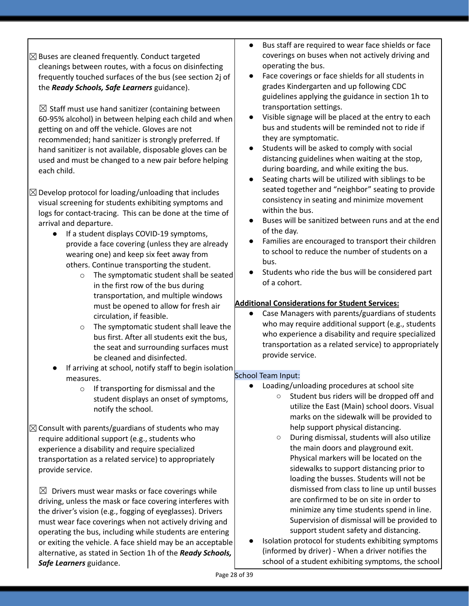Bus staff are required to wear face shields or face coverings on buses when not actively driving and operating the bus. Face coverings or face shields for all students in grades Kindergarten and up following CDC guidelines applying the guidance in section 1h to transportation settings. Visible signage will be placed at the entry to each bus and students will be reminded not to ride if they are symptomatic. Students will be asked to comply with social distancing guidelines when waiting at the stop, during boarding, and while exiting the bus. ● Seating charts will be utilized with siblings to be seated together and "neighbor" seating to provide consistency in seating and minimize movement within the bus. Buses will be sanitized between runs and at the end of the day. Families are encouraged to transport their children to school to reduce the number of students on a bus. ● Students who ride the bus will be considered part of a cohort. **Additional Considerations for Student Services:** Case Managers with parents/guardians of students who may require additional support (e.g., students who experience a disability and require specialized transportation as a related service) to appropriately provide service. School Team Input: Loading/unloading procedures at school site Student bus riders will be dropped off and utilize the East (Main) school doors. Visual marks on the sidewalk will be provided to help support physical distancing. ○ During dismissal, students will also utilize the main doors and playground exit. Physical markers will be located on the sidewalks to support distancing prior to loading the busses. Students will not be dismissed from class to line up until busses are confirmed to be on site in order to minimize any time students spend in line. Supervision of dismissal will be provided to support student safety and distancing. ● Isolation protocol for students exhibiting symptoms (informed by driver) - When a driver notifies the school of a student exhibiting symptoms, the school  $\boxtimes$  Buses are cleaned frequently. Conduct targeted cleanings between routes, with a focus on disinfecting frequently touched surfaces of the bus (see section 2j of the *Ready Schools, Safe Learners* guidance).  $\boxtimes$  Staff must use hand sanitizer (containing between 60-95% alcohol) in between helping each child and when getting on and off the vehicle. Gloves are not recommended; hand sanitizer is strongly preferred. If hand sanitizer is not available, disposable gloves can be used and must be changed to a new pair before helping each child.  $\boxtimes$  Develop protocol for loading/unloading that includes visual screening for students exhibiting symptoms and logs for contact-tracing. This can be done at the time of arrival and departure. ● If a student displays COVID-19 symptoms, provide a face covering (unless they are already wearing one) and keep six feet away from others. Continue transporting the student. o The symptomatic student shall be seated in the first row of the bus during transportation, and multiple windows must be opened to allow for fresh air circulation, if feasible. o The symptomatic student shall leave the bus first. After all students exit the bus, the seat and surrounding surfaces must be cleaned and disinfected. If arriving at school, notify staff to begin isolation measures. o If transporting for dismissal and the student displays an onset of symptoms, notify the school.  $\boxtimes$  Consult with parents/guardians of students who may require additional support (e.g., students who experience a disability and require specialized transportation as a related service) to appropriately provide service.  $\boxtimes$  Drivers must wear masks or face coverings while driving, unless the mask or face covering interferes with the driver's vision (e.g., fogging of eyeglasses). Drivers must wear face coverings when not actively driving and operating the bus, including while students are entering or exiting the vehicle. A face shield may be an acceptable alternative, as stated in Section 1h of the *Ready Schools, Safe Learners* guidance.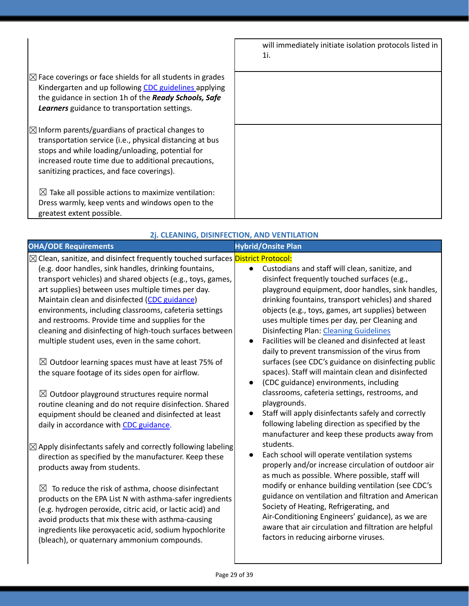|                                                                                                                                                                                                                                                                                   | will immediately initiate isolation protocols listed in<br>1i. |
|-----------------------------------------------------------------------------------------------------------------------------------------------------------------------------------------------------------------------------------------------------------------------------------|----------------------------------------------------------------|
| $\boxtimes$ Face coverings or face shields for all students in grades<br>Kindergarten and up following CDC guidelines applying<br>the guidance in section 1h of the Ready Schools, Safe<br>Learners guidance to transportation settings.                                          |                                                                |
| $\boxtimes$ Inform parents/guardians of practical changes to<br>transportation service (i.e., physical distancing at bus<br>stops and while loading/unloading, potential for<br>increased route time due to additional precautions,<br>sanitizing practices, and face coverings). |                                                                |
| $\boxtimes$ Take all possible actions to maximize ventilation:<br>Dress warmly, keep vents and windows open to the<br>greatest extent possible.                                                                                                                                   |                                                                |

| 2j. CLEANING, DISINFECTION, AND VENTILATION                                                                                                                                                                                                                                                                                                           |                                                                                                                                                                                                                                                                                                          |  |
|-------------------------------------------------------------------------------------------------------------------------------------------------------------------------------------------------------------------------------------------------------------------------------------------------------------------------------------------------------|----------------------------------------------------------------------------------------------------------------------------------------------------------------------------------------------------------------------------------------------------------------------------------------------------------|--|
| <b>OHA/ODE Requirements</b>                                                                                                                                                                                                                                                                                                                           | <b>Hybrid/Onsite Plan</b>                                                                                                                                                                                                                                                                                |  |
| <b>⊠ Clean, sanitize, and disinfect frequently touched surfaces District Protocol:</b><br>(e.g. door handles, sink handles, drinking fountains,<br>transport vehicles) and shared objects (e.g., toys, games,<br>art supplies) between uses multiple times per day.                                                                                   | Custodians and staff will clean, sanitize, and<br>$\bullet$<br>disinfect frequently touched surfaces (e.g.,<br>playground equipment, door handles, sink handles,                                                                                                                                         |  |
| Maintain clean and disinfected (CDC guidance)<br>environments, including classrooms, cafeteria settings<br>and restrooms. Provide time and supplies for the<br>cleaning and disinfecting of high-touch surfaces between<br>multiple student uses, even in the same cohort.                                                                            | drinking fountains, transport vehicles) and shared<br>objects (e.g., toys, games, art supplies) between<br>uses multiple times per day, per Cleaning and<br><b>Disinfecting Plan: Cleaning Guidelines</b><br>Facilities will be cleaned and disinfected at least<br>$\bullet$                            |  |
| $\boxtimes$ Outdoor learning spaces must have at least 75% of<br>the square footage of its sides open for airflow.<br>$\boxtimes$ Outdoor playground structures require normal<br>routine cleaning and do not require disinfection. Shared                                                                                                            | daily to prevent transmission of the virus from<br>surfaces (see CDC's guidance on disinfecting public<br>spaces). Staff will maintain clean and disinfected<br>(CDC guidance) environments, including<br>$\bullet$<br>classrooms, cafeteria settings, restrooms, and<br>playgrounds.                    |  |
| equipment should be cleaned and disinfected at least<br>daily in accordance with CDC guidance.                                                                                                                                                                                                                                                        | Staff will apply disinfectants safely and correctly<br>$\bullet$<br>following labeling direction as specified by the<br>manufacturer and keep these products away from                                                                                                                                   |  |
| $\boxtimes$ Apply disinfectants safely and correctly following labeling<br>direction as specified by the manufacturer. Keep these<br>products away from students.                                                                                                                                                                                     | students.<br>Each school will operate ventilation systems<br>$\bullet$<br>properly and/or increase circulation of outdoor air<br>as much as possible. Where possible, staff will                                                                                                                         |  |
| $\boxtimes$ To reduce the risk of asthma, choose disinfectant<br>products on the EPA List N with asthma-safer ingredients<br>(e.g. hydrogen peroxide, citric acid, or lactic acid) and<br>avoid products that mix these with asthma-causing<br>ingredients like peroxyacetic acid, sodium hypochlorite<br>(bleach), or quaternary ammonium compounds. | modify or enhance building ventilation (see CDC's<br>guidance on ventilation and filtration and American<br>Society of Heating, Refrigerating, and<br>Air-Conditioning Engineers' guidance), as we are<br>aware that air circulation and filtration are helpful<br>factors in reducing airborne viruses. |  |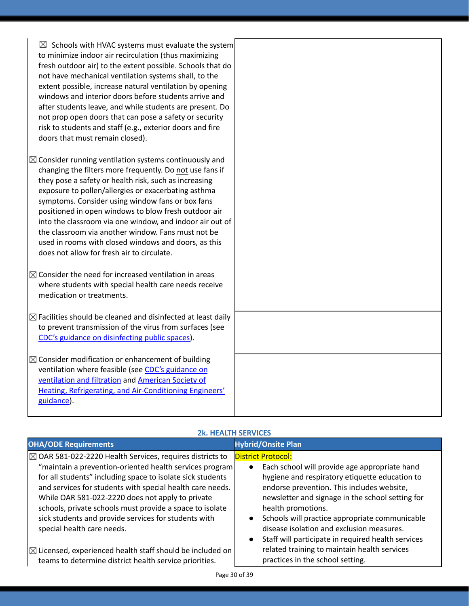| $\boxtimes$ Schools with HVAC systems must evaluate the system<br>to minimize indoor air recirculation (thus maximizing<br>fresh outdoor air) to the extent possible. Schools that do<br>not have mechanical ventilation systems shall, to the<br>extent possible, increase natural ventilation by opening<br>windows and interior doors before students arrive and<br>after students leave, and while students are present. Do<br>not prop open doors that can pose a safety or security<br>risk to students and staff (e.g., exterior doors and fire                                                               |  |
|----------------------------------------------------------------------------------------------------------------------------------------------------------------------------------------------------------------------------------------------------------------------------------------------------------------------------------------------------------------------------------------------------------------------------------------------------------------------------------------------------------------------------------------------------------------------------------------------------------------------|--|
| doors that must remain closed).<br>$\boxtimes$ Consider running ventilation systems continuously and<br>changing the filters more frequently. Do not use fans if<br>they pose a safety or health risk, such as increasing<br>exposure to pollen/allergies or exacerbating asthma<br>symptoms. Consider using window fans or box fans<br>positioned in open windows to blow fresh outdoor air<br>into the classroom via one window, and indoor air out of<br>the classroom via another window. Fans must not be<br>used in rooms with closed windows and doors, as this<br>does not allow for fresh air to circulate. |  |
| $\boxtimes$ Consider the need for increased ventilation in areas<br>where students with special health care needs receive<br>medication or treatments.                                                                                                                                                                                                                                                                                                                                                                                                                                                               |  |
| $\boxtimes$ Facilities should be cleaned and disinfected at least daily<br>to prevent transmission of the virus from surfaces (see<br>CDC's guidance on disinfecting public spaces).                                                                                                                                                                                                                                                                                                                                                                                                                                 |  |
| $\boxtimes$ Consider modification or enhancement of building<br>ventilation where feasible (see CDC's guidance on<br>ventilation and filtration and American Society of<br>Heating, Refrigerating, and Air-Conditioning Engineers'<br>guidance).                                                                                                                                                                                                                                                                                                                                                                     |  |

#### **2k. HEALTH SERVICES**

| <b>OHA/ODE Requirements</b>                                          | <b>Hybrid/Onsite Plan</b>                                       |
|----------------------------------------------------------------------|-----------------------------------------------------------------|
| △ OAR 581-022-2220 Health Services, requires districts to            | <b>District Protocol:</b>                                       |
| "maintain a prevention-oriented health services program              | Each school will provide age appropriate hand<br>$\bullet$      |
| for all students" including space to isolate sick students           | hygiene and respiratory etiquette education to                  |
| and services for students with special health care needs.            | endorse prevention. This includes website,                      |
| While OAR 581-022-2220 does not apply to private                     | newsletter and signage in the school setting for                |
| schools, private schools must provide a space to isolate             | health promotions.                                              |
| sick students and provide services for students with                 | Schools will practice appropriate communicable                  |
| special health care needs.                                           | disease isolation and exclusion measures.                       |
|                                                                      | Staff will participate in required health services<br>$\bullet$ |
| $\boxtimes$ Licensed, experienced health staff should be included on | related training to maintain health services                    |
| teams to determine district health service priorities.               | practices in the school setting.                                |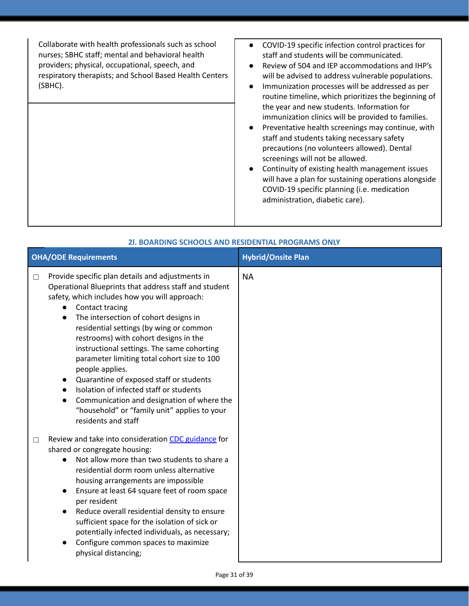Collaborate with health professionals such as school nurses; SBHC staff; mental and behavioral health providers; physical, occupational, speech, and respiratory therapists; and School Based Health Centers (SBHC).

- COVID-19 specific infection control practices for staff and students will be communicated.
- Review of 504 and IEP accommodations and IHP's will be advised to address vulnerable populations.
- Immunization processes will be addressed as per routine timeline, which prioritizes the beginning of the year and new students. Information for immunization clinics will be provided to families.
- Preventative health screenings may continue, with staff and students taking necessary safety precautions (no volunteers allowed). Dental screenings will not be allowed.
- Continuity of existing health management issues will have a plan for sustaining operations alongside COVID-19 specific planning (i.e. medication administration, diabetic care).

|        | <b>OHA/ODE Requirements</b>                                                                                                                                                                                                                                                                                                                                                                                                                                                                                                                                                                                                                                                               | <b>Hybrid/Onsite Plan</b> |
|--------|-------------------------------------------------------------------------------------------------------------------------------------------------------------------------------------------------------------------------------------------------------------------------------------------------------------------------------------------------------------------------------------------------------------------------------------------------------------------------------------------------------------------------------------------------------------------------------------------------------------------------------------------------------------------------------------------|---------------------------|
| □      | Provide specific plan details and adjustments in<br>Operational Blueprints that address staff and student<br>safety, which includes how you will approach:<br>Contact tracing<br>$\bullet$<br>The intersection of cohort designs in<br>$\bullet$<br>residential settings (by wing or common<br>restrooms) with cohort designs in the<br>instructional settings. The same cohorting<br>parameter limiting total cohort size to 100<br>people applies.<br>Quarantine of exposed staff or students<br>$\bullet$<br>Isolation of infected staff or students<br>Communication and designation of where the<br>$\bullet$<br>"household" or "family unit" applies to your<br>residents and staff | <b>NA</b>                 |
| $\Box$ | Review and take into consideration CDC guidance for<br>shared or congregate housing:<br>Not allow more than two students to share a<br>$\bullet$<br>residential dorm room unless alternative<br>housing arrangements are impossible<br>Ensure at least 64 square feet of room space<br>$\bullet$<br>per resident<br>Reduce overall residential density to ensure<br>$\bullet$<br>sufficient space for the isolation of sick or<br>potentially infected individuals, as necessary;<br>Configure common spaces to maximize<br>physical distancing;                                                                                                                                          |                           |

### **2l. BOARDING SCHOOLS AND RESIDENTIAL PROGRAMS ONLY**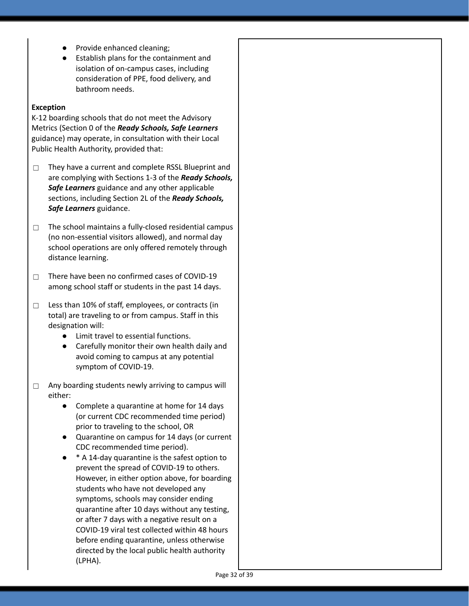- Provide enhanced cleaning;
- Establish plans for the containment and isolation of on-campus cases, including consideration of PPE, food delivery, and bathroom needs.

#### **Exception**

K-12 boarding schools that do not meet the Advisory Metrics (Section 0 of the *Ready Schools, Safe Learners* guidance) may operate, in consultation with their Local Public Health Authority, provided that:

 $\Box$  They have a current and complete RSSL Blueprint and are complying with Sections 1-3 of the *Ready Schools, Safe Learners* guidance and any other applicable sections, including Section 2L of the *Ready Schools, Safe Learners* guidance.

☐ The school maintains a fully-closed residential campus (no non-essential visitors allowed), and normal day school operations are only offered remotely through distance learning.

 $\Box$  There have been no confirmed cases of COVID-19 among school staff or students in the past 14 days.

 $\Box$  Less than 10% of staff, employees, or contracts (in total) are traveling to or from campus. Staff in this designation will:

- Limit travel to essential functions.
- Carefully monitor their own health daily and avoid coming to campus at any potential symptom of COVID-19.
- $\Box$  Any boarding students newly arriving to campus will either:
	- Complete a quarantine at home for 14 days (or current CDC recommended time period) prior to traveling to the school, OR
	- Quarantine on campus for 14 days (or current CDC recommended time period).
	- <sup>\*</sup> A 14-day quarantine is the safest option to prevent the spread of COVID-19 to others. However, in either option above, for boarding students who have not developed any symptoms, schools may consider ending quarantine after 10 days without any testing, or after 7 days with a negative result on a COVID-19 viral test collected within 48 hours before ending quarantine, unless otherwise directed by the local public health authority (LPHA).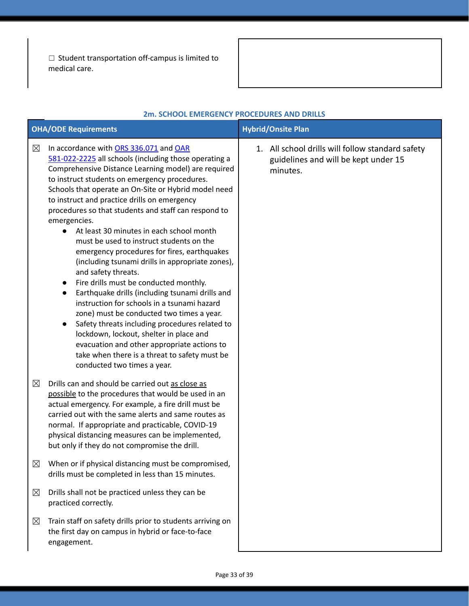$\Box$  Student transportation off-campus is limited to medical care.

|             | <b>OHA/ODE Requirements</b>                                                                                                                                                                                                                                                                                                                                                                                                                                                                                                                                                                                                                                                                                                                                                                                                                                                                                                                                                                                                                                                        | <b>Hybrid/Onsite Plan</b>                                                                            |
|-------------|------------------------------------------------------------------------------------------------------------------------------------------------------------------------------------------------------------------------------------------------------------------------------------------------------------------------------------------------------------------------------------------------------------------------------------------------------------------------------------------------------------------------------------------------------------------------------------------------------------------------------------------------------------------------------------------------------------------------------------------------------------------------------------------------------------------------------------------------------------------------------------------------------------------------------------------------------------------------------------------------------------------------------------------------------------------------------------|------------------------------------------------------------------------------------------------------|
| $\boxtimes$ | In accordance with ORS 336.071 and OAR<br>581-022-2225 all schools (including those operating a<br>Comprehensive Distance Learning model) are required<br>to instruct students on emergency procedures.<br>Schools that operate an On-Site or Hybrid model need<br>to instruct and practice drills on emergency<br>procedures so that students and staff can respond to<br>emergencies.<br>At least 30 minutes in each school month<br>$\bullet$<br>must be used to instruct students on the<br>emergency procedures for fires, earthquakes<br>(including tsunami drills in appropriate zones),<br>and safety threats.<br>Fire drills must be conducted monthly.<br>$\bullet$<br>Earthquake drills (including tsunami drills and<br>$\bullet$<br>instruction for schools in a tsunami hazard<br>zone) must be conducted two times a year.<br>Safety threats including procedures related to<br>$\bullet$<br>lockdown, lockout, shelter in place and<br>evacuation and other appropriate actions to<br>take when there is a threat to safety must be<br>conducted two times a year. | 1. All school drills will follow standard safety<br>guidelines and will be kept under 15<br>minutes. |
| $\boxtimes$ | Drills can and should be carried out as close as<br>possible to the procedures that would be used in an<br>actual emergency. For example, a fire drill must be<br>carried out with the same alerts and same routes as<br>normal. If appropriate and practicable, COVID-19<br>physical distancing measures can be implemented,<br>but only if they do not compromise the drill.                                                                                                                                                                                                                                                                                                                                                                                                                                                                                                                                                                                                                                                                                                     |                                                                                                      |
| $\boxtimes$ | When or if physical distancing must be compromised.<br>drills must be completed in less than 15 minutes.                                                                                                                                                                                                                                                                                                                                                                                                                                                                                                                                                                                                                                                                                                                                                                                                                                                                                                                                                                           |                                                                                                      |
| $\boxtimes$ | Drills shall not be practiced unless they can be<br>practiced correctly.                                                                                                                                                                                                                                                                                                                                                                                                                                                                                                                                                                                                                                                                                                                                                                                                                                                                                                                                                                                                           |                                                                                                      |
| ⊠           | Train staff on safety drills prior to students arriving on<br>the first day on campus in hybrid or face-to-face<br>engagement.                                                                                                                                                                                                                                                                                                                                                                                                                                                                                                                                                                                                                                                                                                                                                                                                                                                                                                                                                     |                                                                                                      |

### **2m. SCHOOL EMERGENCY PROCEDURES AND DRILLS**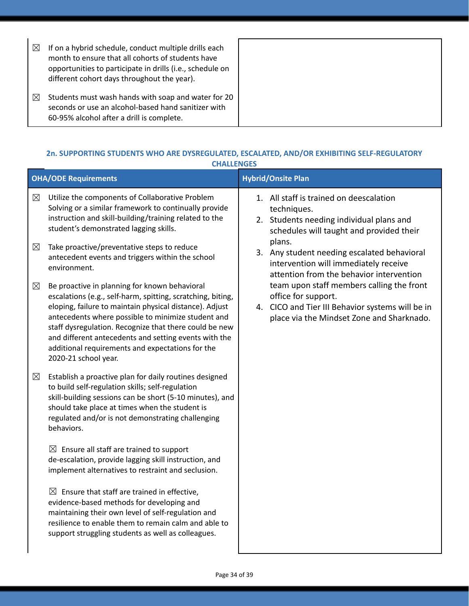| $\bowtie$ | If on a hybrid schedule, conduct multiple drills each<br>month to ensure that all cohorts of students have<br>opportunities to participate in drills (i.e., schedule on<br>different cohort days throughout the year). |
|-----------|------------------------------------------------------------------------------------------------------------------------------------------------------------------------------------------------------------------------|
| $\bowtie$ | Students must wash hands with soap and water for 20<br>seconds or use an alcohol-based hand sanitizer with<br>60-95% alcohol after a drill is complete.                                                                |

#### **2n. SUPPORTING STUDENTS WHO ARE DYSREGULATED, ESCALATED, AND/OR EXHIBITING SELF-REGULATORY CHALLENGES**

|             | <b>OHA/ODE Requirements</b>                                                                                                                                                                                                                                                                                                                                                                                                  | <b>Hybrid/Onsite Plan</b>                                                                                                                                         |
|-------------|------------------------------------------------------------------------------------------------------------------------------------------------------------------------------------------------------------------------------------------------------------------------------------------------------------------------------------------------------------------------------------------------------------------------------|-------------------------------------------------------------------------------------------------------------------------------------------------------------------|
| $\boxtimes$ | Utilize the components of Collaborative Problem<br>Solving or a similar framework to continually provide<br>instruction and skill-building/training related to the<br>student's demonstrated lagging skills.                                                                                                                                                                                                                 | 1. All staff is trained on deescalation<br>techniques.<br>2. Students needing individual plans and<br>schedules will taught and provided their                    |
| $\boxtimes$ | Take proactive/preventative steps to reduce<br>antecedent events and triggers within the school<br>environment.                                                                                                                                                                                                                                                                                                              | plans.<br>3.<br>Any student needing escalated behavioral<br>intervention will immediately receive<br>attention from the behavior intervention                     |
| $\boxtimes$ | Be proactive in planning for known behavioral<br>escalations (e.g., self-harm, spitting, scratching, biting,<br>eloping, failure to maintain physical distance). Adjust<br>antecedents where possible to minimize student and<br>staff dysregulation. Recognize that there could be new<br>and different antecedents and setting events with the<br>additional requirements and expectations for the<br>2020-21 school year. | team upon staff members calling the front<br>office for support.<br>4. CICO and Tier III Behavior systems will be in<br>place via the Mindset Zone and Sharknado. |
| $\boxtimes$ | Establish a proactive plan for daily routines designed<br>to build self-regulation skills; self-regulation<br>skill-building sessions can be short (5-10 minutes), and<br>should take place at times when the student is<br>regulated and/or is not demonstrating challenging<br>behaviors.                                                                                                                                  |                                                                                                                                                                   |
|             | $\boxtimes$ Ensure all staff are trained to support<br>de-escalation, provide lagging skill instruction, and<br>implement alternatives to restraint and seclusion.                                                                                                                                                                                                                                                           |                                                                                                                                                                   |
|             | $\boxtimes$ Ensure that staff are trained in effective,<br>evidence-based methods for developing and<br>maintaining their own level of self-regulation and<br>resilience to enable them to remain calm and able to<br>support struggling students as well as colleagues.                                                                                                                                                     |                                                                                                                                                                   |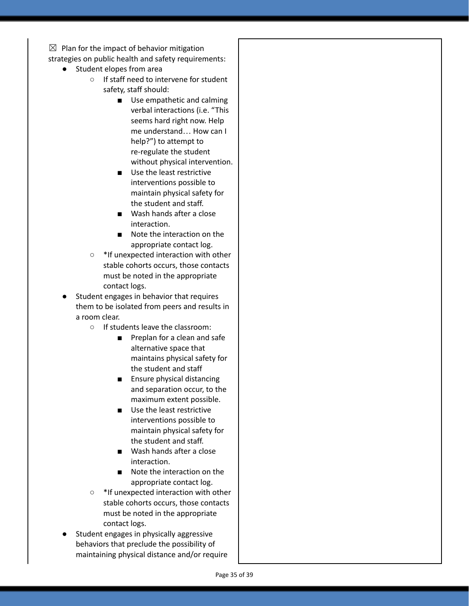$\boxtimes$  Plan for the impact of behavior mitigation

strategies on public health and safety requirements:

- Student elopes from area
	- If staff need to intervene for student safety, staff should:
		- Use empathetic and calming verbal interactions (i.e. "This seems hard right now. Help me understand… How can I help?") to attempt to re-regulate the student without physical intervention.
		- Use the least restrictive interventions possible to maintain physical safety for the student and staff.
		- Wash hands after a close interaction.
		- Note the interaction on the appropriate contact log.
	- \*If unexpected interaction with other stable cohorts occurs, those contacts must be noted in the appropriate contact logs.
- Student engages in behavior that requires them to be isolated from peers and results in a room clear.
	- If students leave the classroom:
		- Preplan for a clean and safe alternative space that maintains physical safety for the student and staff
		- Ensure physical distancing and separation occur, to the maximum extent possible.
		- Use the least restrictive interventions possible to maintain physical safety for the student and staff.
		- Wash hands after a close interaction.
		- Note the interaction on the appropriate contact log.
	- \*If unexpected interaction with other stable cohorts occurs, those contacts must be noted in the appropriate contact logs.
- Student engages in physically aggressive behaviors that preclude the possibility of maintaining physical distance and/or require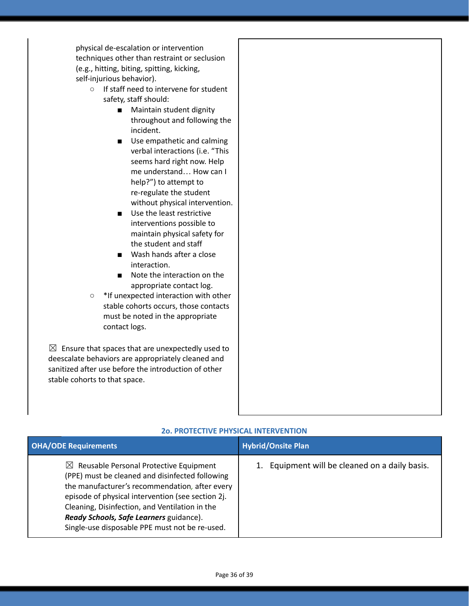physical de-escalation or intervention techniques other than restraint or seclusion (e.g., hitting, biting, spitting, kicking, self-injurious behavior).

- If staff need to intervene for student safety, staff should:
	- Maintain student dignity throughout and following the incident.
	- Use empathetic and calming verbal interactions (i.e. "This seems hard right now. Help me understand… How can I help?") to attempt to re-regulate the student without physical intervention.
	- Use the least restrictive interventions possible to maintain physical safety for the student and staff
	- Wash hands after a close interaction.
	- Note the interaction on the appropriate contact log.
- \*If unexpected interaction with other stable cohorts occurs, those contacts must be noted in the appropriate contact logs.

 $\boxtimes$  Ensure that spaces that are unexpectedly used to deescalate behaviors are appropriately cleaned and sanitized after use before the introduction of other stable cohorts to that space.

| <b>OHA/ODE Requirements</b>                                                                                                                                                                                                                                                                                                                                    | <b>Hybrid/Onsite Plan</b>                   |
|----------------------------------------------------------------------------------------------------------------------------------------------------------------------------------------------------------------------------------------------------------------------------------------------------------------------------------------------------------------|---------------------------------------------|
| Reusable Personal Protective Equipment<br>$\boxtimes$<br>(PPE) must be cleaned and disinfected following<br>the manufacturer's recommendation, after every<br>episode of physical intervention (see section 2j.<br>Cleaning, Disinfection, and Ventilation in the<br>Ready Schools, Safe Learners guidance).<br>Single-use disposable PPE must not be re-used. | Equipment will be cleaned on a daily basis. |

### **2o. PROTECTIVE PHYSICAL INTERVENTION**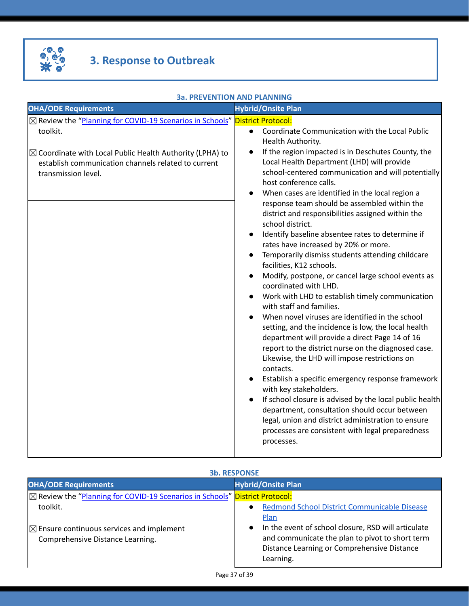

# **3. Response to Outbreak**

| 38. PREVENTION AND PLANNING                                                                                                                                                                                                                   |                                                                                                                                                                                                                                                                                                                                                                                                                                                                                                                                                                                                                                                                                                                                                                                                                                                                                                                                                                                                                                                                                                                                                                                                                                                                                                                                                                                                                                       |
|-----------------------------------------------------------------------------------------------------------------------------------------------------------------------------------------------------------------------------------------------|---------------------------------------------------------------------------------------------------------------------------------------------------------------------------------------------------------------------------------------------------------------------------------------------------------------------------------------------------------------------------------------------------------------------------------------------------------------------------------------------------------------------------------------------------------------------------------------------------------------------------------------------------------------------------------------------------------------------------------------------------------------------------------------------------------------------------------------------------------------------------------------------------------------------------------------------------------------------------------------------------------------------------------------------------------------------------------------------------------------------------------------------------------------------------------------------------------------------------------------------------------------------------------------------------------------------------------------------------------------------------------------------------------------------------------------|
| <b>OHA/ODE Requirements</b>                                                                                                                                                                                                                   | <b>Hybrid/Onsite Plan</b>                                                                                                                                                                                                                                                                                                                                                                                                                                                                                                                                                                                                                                                                                                                                                                                                                                                                                                                                                                                                                                                                                                                                                                                                                                                                                                                                                                                                             |
| ⊠ Review the "Planning for COVID-19 Scenarios in Schools" District Protocol:<br>toolkit.<br>$\boxtimes$ Coordinate with Local Public Health Authority (LPHA) to<br>establish communication channels related to current<br>transmission level. | Coordinate Communication with the Local Public<br>$\bullet$<br>Health Authority.<br>If the region impacted is in Deschutes County, the<br>$\bullet$<br>Local Health Department (LHD) will provide<br>school-centered communication and will potentially<br>host conference calls.<br>When cases are identified in the local region a<br>response team should be assembled within the<br>district and responsibilities assigned within the<br>school district.<br>Identify baseline absentee rates to determine if<br>$\bullet$<br>rates have increased by 20% or more.<br>Temporarily dismiss students attending childcare<br>$\bullet$<br>facilities, K12 schools.<br>Modify, postpone, or cancel large school events as<br>coordinated with LHD.<br>Work with LHD to establish timely communication<br>with staff and families.<br>When novel viruses are identified in the school<br>setting, and the incidence is low, the local health<br>department will provide a direct Page 14 of 16<br>report to the district nurse on the diagnosed case.<br>Likewise, the LHD will impose restrictions on<br>contacts.<br>Establish a specific emergency response framework<br>with key stakeholders.<br>If school closure is advised by the local public health<br>department, consultation should occur between<br>legal, union and district administration to ensure<br>processes are consistent with legal preparedness<br>processes. |
|                                                                                                                                                                                                                                               |                                                                                                                                                                                                                                                                                                                                                                                                                                                                                                                                                                                                                                                                                                                                                                                                                                                                                                                                                                                                                                                                                                                                                                                                                                                                                                                                                                                                                                       |

| <b>3a. PREVENTION AND PLANNING</b> |  |
|------------------------------------|--|
|------------------------------------|--|

| <b>OHA/ODE Requirements</b>                                                               | <b>Hybrid/Onsite Plan</b>                                                                                                                                                       |  |
|-------------------------------------------------------------------------------------------|---------------------------------------------------------------------------------------------------------------------------------------------------------------------------------|--|
| $\boxtimes$ Review the "Planning for COVID-19 Scenarios in Schools" District Protocol:    |                                                                                                                                                                                 |  |
| toolkit.                                                                                  | Redmond School District Communicable Disease<br>$\bullet$<br>Plan                                                                                                               |  |
| $\mathbb{Z}$ Ensure continuous services and implement<br>Comprehensive Distance Learning. | In the event of school closure, RSD will articulate<br>$\bullet$<br>and communicate the plan to pivot to short term<br>Distance Learning or Comprehensive Distance<br>Learning. |  |

# **3b. RESPONSE**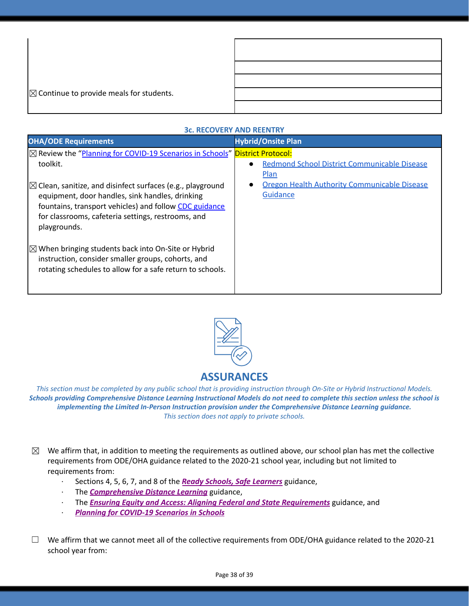| $\mathbb{Z}$ Continue to provide meals for students. |  |
|------------------------------------------------------|--|
|                                                      |  |

#### **3c. RECOVERY AND REENTRY**

| <b>OHA/ODE Requirements</b>                                                                                                                                                        | <b>Hybrid/Onsite Plan</b>                           |
|------------------------------------------------------------------------------------------------------------------------------------------------------------------------------------|-----------------------------------------------------|
| $\boxtimes$ Review the "Planning for COVID-19 Scenarios in Schools" District Protocol:                                                                                             |                                                     |
| toolkit.                                                                                                                                                                           | <b>Redmond School District Communicable Disease</b> |
|                                                                                                                                                                                    | <b>Plan</b>                                         |
| $\boxtimes$ Clean, sanitize, and disinfect surfaces (e.g., playground                                                                                                              | Oregon Health Authority Communicable Disease        |
| equipment, door handles, sink handles, drinking                                                                                                                                    | Guidance                                            |
| fountains, transport vehicles) and follow CDC guidance                                                                                                                             |                                                     |
| for classrooms, cafeteria settings, restrooms, and<br>playgrounds.                                                                                                                 |                                                     |
| $ \boxtimes$ When bringing students back into On-Site or Hybrid<br>instruction, consider smaller groups, cohorts, and<br>rotating schedules to allow for a safe return to schools. |                                                     |
|                                                                                                                                                                                    |                                                     |



### **ASSURANCES**

This section must be completed by any public school that is providing instruction through On-Site or Hybrid Instructional Models. Schools providing Comprehensive Distance Learning Instructional Models do not need to complete this section unless the school is *implementing the Limited In-Person Instruction provision under the Comprehensive Distance Learning guidance. This section does not apply to private schools.*

- $\boxtimes$  We affirm that, in addition to meeting the requirements as outlined above, our school plan has met the collective requirements from ODE/OHA guidance related to the 2020-21 school year, including but not limited to requirements from:
	- · Sections 4, 5, 6, 7, and 8 of the *Ready Schools, Safe [Learners](https://www.oregon.gov/ode/students-and-family/healthsafety/Documents/Ready%20Schools%20Safe%20Learners%202020-21%20Guidance.pdf)* guidance,
	- · The *[Comprehensive](https://www.oregon.gov/ode/educator-resources/standards/Pages/Comprehensive-Distance-Learning.aspx) Distance Learning* guidance,
	- · The *Ensuring Equity and Access: Aligning Federal and State [Requirements](https://www.oregon.gov/ode/students-and-family/healthsafety/Documents/Ensuring%20Equity%20and%20Access%20Aligning%20State%20and%20Federal%20Requirements.pdf)* guidance, and
	- · *Planning for [COVID-19](https://www.oregon.gov/ode/students-and-family/healthsafety/Documents/Planning%20and%20Responding%20to%20COVID-19%20Scenarios%20in%20Schools%20August%202020.pdf) Scenarios in Schools*
- ☐ We affirm that we cannot meet all of the collective requirements from ODE/OHA guidance related to the 2020-21 school year from: